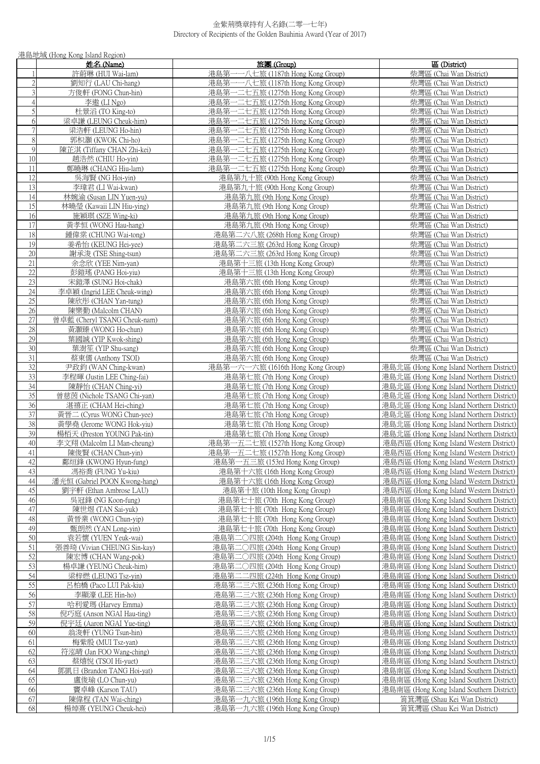|                         | 港島地域 (Hong Kong Island Region)             |                                                            |                                                    |
|-------------------------|--------------------------------------------|------------------------------------------------------------|----------------------------------------------------|
|                         | 姓名 (Name)                                  | 旅團 (Group)                                                 | 區 (District)                                       |
| 1                       | 許蔚琳 (HUI Wai-lam)                          | 港島第一一八七旅 (1187th Hong Kong Group)                          | 柴灣區 (Chai Wan District)                            |
| $\sqrt{2}$              | 劉知行 (LAU Chi-hang)                         | 港島第-<br>一一八七旅 (1187th Hong Kong Group)                     | 柴灣區 (Chai Wan District)                            |
| $\overline{\mathbf{3}}$ | 方俊軒 (FONG Chun-hin)                        | 港島第一二七五旅 (1275th Hong Kong Group)                          | 柴灣區 (Chai Wan District)                            |
| $\overline{4}$          | 李遨 (LI Ngo)                                | 港島第一二七五旅 (1275th Hong Kong Group)                          | 柴灣區 (Chai Wan District)                            |
| 5                       | 杜景滔 (TO King-to)                           | 港島第一二七五旅 (1275th Hong Kong Group)                          | 柴灣區 (Chai Wan District)                            |
| 6                       | 梁卓謙 (LEUNG Cheuk-him)                      | 港島第一二七五旅 (1275th Hong Kong Group)                          | 柴灣區 (Chai Wan District)                            |
| $\overline{7}$          | 梁浩軒 (LEUNG Ho-hin)                         | 港島第一二七五旅 (1275th Hong Kong Group)                          | 柴灣區 (Chai Wan District)                            |
| $\,8\,$                 | 郭枳灝 (KWOK Chi-ho)                          | 港島第一二七五旅 (1275th Hong Kong Group)                          | 柴灣區 (Chai Wan District)                            |
| $\mathfrak{g}$          | 陳芷淇 (Tiffany CHAN Zhi-kei)                 | 港島第一二七五旅 (1275th Hong Kong Group)                          | 柴灣區 (Chai Wan District)                            |
| 10                      | 趙浩然 (CHIU Ho-vin)                          | 港島第一二七五旅 (1275th Hong Kong Group)                          | 柴灣區 (Chai Wan District)                            |
| 11                      | 鄭曉琳 (CHANG Hiu-lam)                        | 港島第一二七五旅 (1275th Hong Kong Group)                          | 柴灣區 (Chai Wan District)                            |
| 12                      | 吳海賢 (NG Hoi-yin)                           | 港島第九十旅 (90th Hong Kong Group)                              | 柴灣區 (Chai Wan District)                            |
| 13                      | 李瑋君 (LI Wai-kwan)                          | 港島第九十旅 (90th Hong Kong Group)                              | 柴灣區 (Chai Wan District)                            |
| 14                      | 林婉渝 (Susan LIN Yuen-yu)                    | 港島第九旅 (9th Hong Kong Group)                                | 柴灣區 (Chai Wan District)                            |
| 15                      | 林曉瑩 (Kawaii LIN Hiu-ying)                  | 港島第九旅 (9th Hong Kong Group)                                | 柴灣區 (Chai Wan District)                            |
| 16                      | 施穎琪 (SZE Wing-ki)                          | 港島第九旅 (9th Hong Kong Group)                                | 柴灣區 (Chai Wan District)                            |
| 17                      | 黃孝恒 (WONG Hau-hang)                        | 港島第九旅 (9th Hong Kong Group)                                | 柴灣區 (Chai Wan District)                            |
| 18                      | 鍾偉棠 (CHUNG Wai-tong)                       | 港島第二六八旅 (268th Hong Kong Group)                            | 柴灣區 (Chai Wan District)                            |
| 19                      | 姜希怡 (KEUNG Hei-yee)                        | 港島第二六三旅 (263rd Hong Kong Group)                            | 柴灣區 (Chai Wan District)                            |
| 20                      | 謝承浚 (TSE Shing-tsun)                       | 港島第二六三旅 (263rd Hong Kong Group)                            | 柴灣區 (Chai Wan District)                            |
| 21                      | 余念欣 (YEE Nim-yan)                          | 港島第十三旅 (13th Hong Kong Group)                              | 柴灣區 (Chai Wan District)                            |
| 22                      | 彭鎧瑤 (PANG Hoi-yiu)                         | 港島第十三旅 (13th Hong Kong Group)                              | 柴灣區 (Chai Wan District)                            |
| 23                      | 宋鎧澤 (SUNG Hoi-chak)                        | 港島第六旅 (6th Hong Kong Group)                                | 柴灣區 (Chai Wan District)                            |
| 24                      | 李卓穎 (Ingrid LEE Cheuk-wing)                | 港島第六旅 (6th Hong Kong Group)                                | 柴灣區 (Chai Wan District)                            |
| 25                      | 陳欣彤 (CHAN Yan-tung)                        | 港島第六旅 (6th Hong Kong Group)                                | 柴灣區 (Chai Wan District)                            |
| 26<br>27                | 陳樂勤 (Malcolm CHAN)                         | 港島第六旅 (6th Hong Kong Group)                                | 柴灣區 (Chai Wan District)                            |
| 28                      | 曾卓藍 (Cheryl TSANG Cheuk-nam)               | 港島第六旅 (6th Hong Kong Group)                                | 柴灣區 (Chai Wan District)<br>柴灣區 (Chai Wan District) |
| 29                      | 黃灝臻 (WONG Ho-chun)<br>葉國誠 (YIP Kwok-shing) | 港島第六旅 (6th Hong Kong Group)<br>港島第六旅 (6th Hong Kong Group) | 柴灣區 (Chai Wan District)                            |
| $\overline{30}$         | 葉澍笙 (YIP Shu-sang)                         |                                                            | 柴灣區 (Chai Wan District)                            |
| 31                      | 蔡東儒 (Anthony TSOI)                         | 港島第六旅 (6th Hong Kong Group)<br>港島第六旅 (6th Hong Kong Group) | 柴灣區 (Chai Wan District)                            |
| 32                      | 尹政鈞 (WAN Ching-kwan)                       | 港島第一六一六旅 (1616th Hong Kong Group)                          | 港島北區 (Hong Kong Island Northern District)          |
| 33                      | 李程暉 (Justin LEE Ching-fai)                 | 港島第七旅 (7th Hong Kong Group)                                | 港島北區 (Hong Kong Island Northern District)          |
| 34                      | 陳靜怡 (CHAN Ching-yi)                        | 港島第七旅 (7th Hong Kong Group)                                | 港島北區 (Hong Kong Island Northern District)          |
| 35                      | 曾慈茵 (Nichole TSANG Chi-yan)                | 港島第七旅 (7th Hong Kong Group)                                | 港島北區 (Hong Kong Island Northern District)          |
| 36                      | 湛禧正 (CHAM Hei-ching)                       | 港島第七旅 (7th Hong Kong Group)                                | 港島北區 (Hong Kong Island Northern District)          |
| 37                      | 黃晉二 (Cyrus WONG Chun-yee)                  | 港島第七旅 (7th Hong Kong Group)                                | 港島北區 (Hong Kong Island Northern District)          |
| 38                      | 黃學堯 (Jerome WONG Hok-yiu)                  | 港島第七旅 (7th Hong Kong Group)                                | 港島北區 (Hong Kong Island Northern District)          |
| 39                      | 楊栢天 (Preston YOUNG Pak-tin)                | 港島第七旅 (7th Hong Kong Group)                                | 港島北區 (Hong Kong Island Northern District)          |
| 40                      | 李文翔 (Malcolm LI Man-cheung)                | 港島第一五二七旅 (1527th Hong Kong Group)                          | 港島西區 (Hong Kong Island Western District)           |
| 41                      | 陳俊賢 (CHAN Chun-yin)                        | 港島第一五二七旅 (1527th Hong Kong Group)                          | 港島西區 (Hong Kong Island Western District)           |
| 42                      | 鄺烜鋒 (KWONG Hyun-fung)                      | 港島第一五三旅 (153rd Hong Kong Group)                            | 港島西區 (Hong Kong Island Western District)           |
| 43                      | 馮裕喬 (FUNG Yu-kiu)                          | 港島第十六旅 (16th Hong Kong Group)                              | 港島西區 (Hong Kong Island Western District)           |
| 44                      | 潘光恒 (Gabriel POON Kwong-hang)              | 港島第十六旅 (16th Hong Kong Group)                              | 港島西區 (Hong Kong Island Western District)           |
| 45                      | 劉宇軒 (Ethan Ambrose LAU)                    | 港島第十旅 (10th Hong Kong Group)                               | 港島西區 (Hong Kong Island Western District)           |
| 46                      | 吳冠鋒 (NG Koon-fung)                         | 港島第七十旅 (70th Hong Kong Group)                              | 港島南區 (Hong Kong Island Southern District)          |
| 47                      | 陳世煜 (TAN Sai-yuk)                          | 港島第七十旅 (70th Hong Kong Group)                              | 港島南區 (Hong Kong Island Southern District)          |
| 48                      | 黃晉業 (WONG Chun-yip)                        | 港島第七十旅 (70th Hong Kong Group)                              | 港島南區 (Hong Kong Island Southern District)          |
| 49                      | 甄朗然 (YAN Long-yin)                         | 港島第七十旅 (70th Hong Kong Group)                              | 港島南區 (Hong Kong Island Southern District)          |
| 50                      | 袁若懷 (YUEN Yeuk-wai)                        | 港島第二○四旅 (204th Hong Kong Group)                            | 港島南區 (Hong Kong Island Southern District)          |
| 51                      | 張善琦 (Vivian CHEUNG Sin-kay)                | 港島第二〇四旅 (204th Hong Kong Group)                            | 港島南區 (Hong Kong Island Southern District)          |
| 52                      | 陳宏博 (CHAN Wang-pok)                        | 港島第二○四旅 (204th Hong Kong Group)                            | 港島南區 (Hong Kong Island Southern District)          |
| 53                      | 楊卓謙 (YEUNG Cheuk-him)                      | 港島第二○四旅 (204th Hong Kong Group)                            | 港島南區 (Hong Kong Island Southern District)          |
| 54                      | 梁梓燃 (LEUNG Tsz-yin)                        | 港島第二二四旅 (224th Hong Kong Group)                            | 港島南區 (Hong Kong Island Southern District)          |
| 55                      | 呂柏橋 (Paco LUI Pak-kiu)                     | 港島第二三六旅 (236th Hong Kong Group)                            | 港島南區 (Hong Kong Island Southern District)          |
| 56                      | 李顯濠 (LEE Hin-ho)                           | 港島第二三六旅 (236th Hong Kong Group)                            | 港島南區 (Hong Kong Island Southern District)          |
| 57                      | 哈利愛瑪 (Harvey Emma)                         | 港島第二三六旅 (236th Hong Kong Group)                            | 港島南區 (Hong Kong Island Southern District)          |
| 58                      | 倪巧庭 (Anson NGAI Hau-ting)                  | 港島第二三六旅 (236th Hong Kong Group)                            | 港島南區 (Hong Kong Island Southern District)          |
| 59                      | 倪宇廷 (Aaron NGAI Yue-ting)                  | 港島第二三六旅 (236th Hong Kong Group)                            | 港島南區 (Hong Kong Island Southern District)          |
| 60                      | 翁浚軒 (YUNG Tsun-hin)                        | 港島第二三六旅 (236th Hong Kong Group)                            | 港島南區 (Hong Kong Island Southern District)          |
| 61                      | 梅紫殷 (MUI Tsz-yan)                          | 港島第二三六旅 (236th Hong Kong Group)                            | 港島南區 (Hong Kong Island Southern District)          |
| 62                      | 符泓晴 (Jan FOO Wang-ching)                   | 港島第二三六旅 (236th Hong Kong Group)                            | 港島南區 (Hong Kong Island Southern District)          |
| 63                      | 蔡熺悅 (TSOI Hi-yuet)                         | 港島第二三六旅 (236th Hong Kong Group)                            | 港島南區 (Hong Kong Island Southern District)          |
| 64                      | 鄧凱日 (Brandon TANG Hoi-yat)                 | 港島第二三六旅 (236th Hong Kong Group)                            | 港島南區 (Hong Kong Island Southern District)          |
| 65                      | 盧俊瑜 (LO Chun-yu)                           | 港島第二三六旅 (236th Hong Kong Group)                            | 港島南區 (Hong Kong Island Southern District)          |
| 66                      | 竇卓峰 (Karson TAU)                           | 港島第二三六旅 (236th Hong Kong Group)                            | 港島南區 (Hong Kong Island Southern District)          |
| 67                      | 陳偉程 (TAN Wai-ching)                        | 港島第一九六旅 (196th Hong Kong Group)                            | 筲箕灣區 (Shau Kei Wan District)                       |
| 68                      | 楊焯熹 (YEUNG Cheuk-hei)                      | 港島第一九六旅 (196th Hong Kong Group)                            | 筲箕灣區 (Shau Kei Wan District)                       |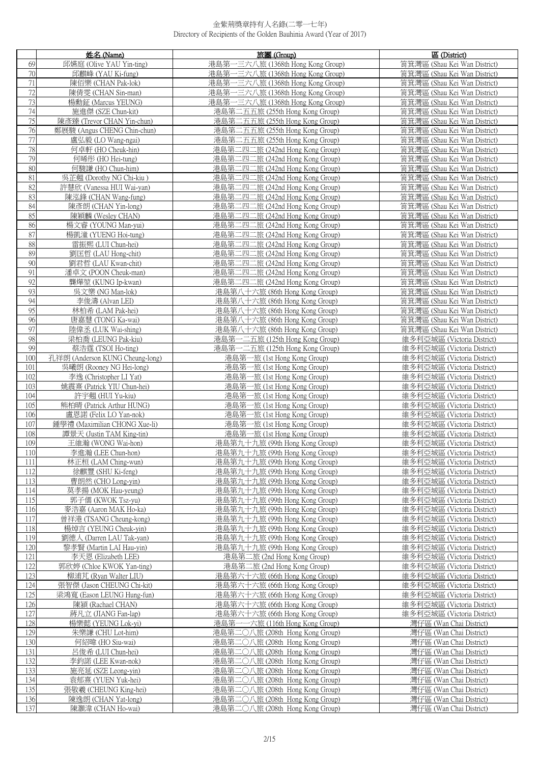|            | 姓名 (Name)                                                  | 旅團 (Group)                                                         | 區 (District)                                                 |
|------------|------------------------------------------------------------|--------------------------------------------------------------------|--------------------------------------------------------------|
| 69         | 邱嬿庭 (Olive YAU Yin-ting)                                   | 港島第·<br>-三六八旅 (1368th Hong Kong Group)                             | 筲箕灣區 (Shau Kei Wan District)                                 |
| 70         | 邱麒峰 (YAU Ki-fung)                                          | 港島第一三六八旅 (1368th Hong Kong Group)                                  | 筲箕灣區 (Shau Kei Wan District)                                 |
| 71         | 陳佰樂 (CHAN Pak-lok)                                         | 港島第一三六八旅 (1368th Hong Kong Group)                                  | 筲箕灣區 (Shau Kei Wan District)                                 |
| 72         | 陳倩雯 (CHAN Sin-man)                                         | 港島第一三六八旅 (1368th Hong Kong Group)                                  | 筲箕灣區 (Shau Kei Wan District)                                 |
| 73         | 楊勳鉦 (Marcus YEUNG)                                         | 港島第一三六八旅 (1368th Hong Kong Group)                                  | 筲箕灣區 (Shau Kei Wan District)                                 |
| 74         | 施進傑 (SZE Chun-kit)                                         | 港島第二五五旅 (255th Hong Kong Group)                                    | 筲箕灣區 (Shau Kei Wan District)                                 |
| 75         | 陳彥臻 (Trevor CHAN Yin-chun)                                 | 港島第二五五旅 (255th Hong Kong Group)                                    | 筲箕灣區 (Shau Kei Wan District)                                 |
| 76         | 鄭展駿 (Angus CHENG Chin-chun)                                | 港島第二五五旅 (255th Hong Kong Group)                                    | 筲箕灣區 (Shau Kei Wan District)                                 |
| 77         | 盧弘毅 (LO Wang-ngai)                                         | 港島第二五五旅 (255th Hong Kong Group)                                    | 筲箕灣區 (Shau Kei Wan District)                                 |
| 78         | 何卓軒 (HO Cheuk-hin)                                         | 港島第二四二旅 (242nd Hong Kong Group)                                    | 筲箕灣區 (Shau Kei Wan District)                                 |
| 79         | 何晞彤 (HO Hei-tung)                                          | 港島第二四二旅 (242nd Hong Kong Group)                                    | 筲箕灣區 (Shau Kei Wan District)                                 |
| 80         | 何駿謙 (HO Chun-him)                                          | 港島第二四二旅 (242nd Hong Kong Group)                                    | 筲箕灣區 (Shau Kei Wan District)                                 |
| 81         | 吳芷翹 (Dorothy NG Chi-kiu)                                   | 港島第二四二旅 (242nd Hong Kong Group)                                    | 筲箕灣區 (Shau Kei Wan District)                                 |
| 82         | 許慧欣 (Vanessa HUI Wai-yan)                                  | 港島第二四二旅 (242nd Hong Kong Group)                                    | 筲箕灣區 (Shau Kei Wan District)                                 |
| 83         | 陳泓鋒 (CHAN Wang-fung)                                       | 港島第二四二旅 (242nd Hong Kong Group)                                    | 筲箕灣區 (Shau Kei Wan District)                                 |
| 84         | 陳彥朗 (CHAN Yin-long)                                        | 港島第二四二旅 (242nd Hong Kong Group)                                    | 筲箕灣區 (Shau Kei Wan District)                                 |
| 85         | 陳穎麟 (Wesley CHAN)                                          | 港島第二四二旅 (242nd Hong Kong Group)                                    | 筲箕灣區 (Shau Kei Wan District)                                 |
| 86         | 楊文睿 (YOUNG Man-yui)                                        | 港島第二四二旅 (242nd Hong Kong Group)                                    | 筲箕灣區 (Shau Kei Wan District)                                 |
| 87         | 楊凱潼 (YUENG Hoi-tung)                                       | 港島第二四二旅 (242nd Hong Kong Group)                                    | 筲箕灣區 (Shau Kei Wan District)                                 |
| 88         | 雷振熙 (LUI Chun-hei)                                         | 港島第二四二旅 (242nd Hong Kong Group)                                    | 筲箕灣區 (Shau Kei Wan District)                                 |
| 89         | 劉匡哲 (LAU Hong-chit)                                        | 港島第二四二旅 (242nd Hong Kong Group)                                    | 筲箕灣區 (Shau Kei Wan District)                                 |
| 90         | 劉君哲 (LAU Kwan-chit)                                        | 港島第二四二旅 (242nd Hong Kong Group)                                    | 筲箕灣區 (Shau Kei Wan District)                                 |
| 91         | 潘卓文 (POON Cheuk-man)                                       | 港島第二四二旅 (242nd Hong Kong Group)                                    | 筲箕灣區 (Shau Kei Wan District)                                 |
| 92<br>93   | 龔燁堃 (KUNG Ip-kwan)                                         | 港島第二四二旅 (242nd Hong Kong Group)<br>港島第八十六旅 (86th Hong Kong Group)  | 筲箕灣區 (Shau Kei Wan District)                                 |
| 94         | 吳文樂 (NG Man-lok)<br>李俊濤 (Alvan LEI)                        | 港島第八十六旅 (86th Hong Kong Group)                                     | 筲箕灣區 (Shau Kei Wan District)<br>筲箕灣區 (Shau Kei Wan District) |
| 95         | 林柏希 (LAM Pak-hei)                                          | 港島第八十六旅 (86th Hong Kong Group)                                     | 筲箕灣區 (Shau Kei Wan District)                                 |
| 96         | 唐嘉慧 (TONG Ka-wai)                                          | 港島第八十六旅 (86th Hong Kong Group)                                     | 筲箕灣區 (Shau Kei Wan District)                                 |
| 97         | 陸偉丞 (LUK Wai-shing)                                        | 港島第八十六旅 (86th Hong Kong Group)                                     | 筲箕灣區 (Shau Kei Wan District)                                 |
| 98         | 梁柏喬 (LEUNG Pak-kiu)                                        | 港島第一二五旅 (125th Hong Kong Group)                                    | 維多利亞城區 (Victoria District)                                   |
| 99         | 蔡浩霆 (TSOI Ho-ting)                                         | 港島第一二五旅 (125th Hong Kong Group)                                    | 維多利亞城區 (Victoria District)                                   |
| 100        | 孔祥朗 (Anderson KUNG Cheung-long)                            | 港島第一旅 (1st Hong Kong Group)                                        | 維多利亞城區 (Victoria District)                                   |
| 101        | 吳曦朗 (Rooney NG Hei-long)                                   | 港島第一旅 (1st Hong Kong Group)                                        | 維多利亞城區 (Victoria District)                                   |
| 102        | 李逸 (Christopher LI Yat)                                    | 港島第一旅 (1st Hong Kong Group)                                        | 維多利亞城區 (Victoria District)                                   |
| 103        | 姚震熹 (Patrick YIU Chun-hei)                                 | 港島第一旅 (1st Hong Kong Group)                                        | 維多利亞城區 (Victoria District)                                   |
| 104        | 許宇翹 (HUI Yu-kiu)                                           | 港島第一旅 (1st Hong Kong Group)                                        | 維多利亞城區 (Victoria District)                                   |
| 105        | 熊柏晴 (Patrick Arthur HUNG)                                  | 港島第一旅 (1st Hong Kong Group)                                        | 維多利亞城區 (Victoria District)                                   |
| 106        | 盧恩諾 (Felix LO Yan-nok)                                     | 港島第一旅 (1st Hong Kong Group)                                        | 維多利亞城區 (Victoria District)                                   |
| 107<br>108 | 鍾學禮 (Maximilian CHONG Xue-li)<br>譚景天 (Justin TAM King-tin) | 港島第一旅 (1st Hong Kong Group)<br>港島第一旅 (1st Hong Kong Group)         | 維多利亞城區 (Victoria District)<br>維多利亞城區 (Victoria District)     |
| 109        | 王維瀚 (WONG Wai-hon)                                         | 港島第九十九旅 (99th Hong Kong Group)                                     | 維多利亞城區 (Victoria District)                                   |
| 110        | 李淮瀚(LEE Chun-hon)                                          | 港島第九十九旅 (99th Hong Kong Groun)                                     | 維多利亞城區 (Victoria District)                                   |
| 111        | 林正桓 (LAM Ching-wun)                                        | 港島第九十九旅 (99th Hong Kong Group)                                     | 維多利亞城區 (Victoria District)                                   |
| 112        | 徐麒豐 (SHU Ki-feng)                                          | 港島第九十九旅 (99th Hong Kong Group)                                     | 維多利亞城區 (Victoria District)                                   |
| 113        | 曹朗然 (CHO Long-yin)                                         | 港島第九十九旅 (99th Hong Kong Group)                                     | 維多利亞城區 (Victoria District)                                   |
| 114        | 莫孝揚 (MOK Hau-yeung)                                        | 港島第九十九旅 (99th Hong Kong Group)                                     | 維多利亞城區 (Victoria District)                                   |
| 115        | 郭子儒 (KWOK Tsz-yu)                                          | 港島第九十九旅 (99th Hong Kong Group)                                     | 維多利亞城區 (Victoria District)                                   |
| 116        | 麥浩嘉 (Aaron MAK Ho-ka)                                      | 港島第九十九旅 (99th Hong Kong Group)                                     | 維多利亞城區 (Victoria District)                                   |
| 117        | 曾祥港 (TSANG Cheung-kong)                                    | 港島第九十九旅 (99th Hong Kong Group)                                     | 維多利亞城區 (Victoria District)                                   |
| 118        | 楊焯言 (YEUNG Cheuk-yin)                                      | 港島第九十九旅 (99th Hong Kong Group)                                     | 維多利亞城區 (Victoria District)                                   |
| 119        | 劉德人 (Darren LAU Tak-yan)                                   | 港島第九十九旅 (99th Hong Kong Group)                                     | 維多利亞城區 (Victoria District)                                   |
| 120<br>121 | 黎孝賢 (Martin LAI Hau-yin)<br>李天恩 (Elizabeth LEE)            | 港島第九十九旅 (99th Hong Kong Group)<br>港島第二旅 (2nd Hong Kong Group)      | 維多利亞城區 (Victoria District)<br>維多利亞城區 (Victoria District)     |
| 122        | 郭欣婷 (Chloe KWOK Yan-ting)                                  | 港島第二旅 (2nd Hong Kong Group)                                        | 維多利亞城區 (Victoria District)                                   |
| 123        | 柳浦芃 (Ryan Walter LIU)                                      | 港島第六十六旅 (66th Hong Kong Group)                                     | 維多利亞城區 (Victoria District)                                   |
| 124        | 張智傑 (Jason CHEUNG Chi-kit)                                 | 港島第六十六旅 (66th Hong Kong Group)                                     | 維多利亞城區 (Victoria District)                                   |
| 125        | 梁鴻寬 (Eason LEUNG Hung-fun)                                 | 港島第六十六旅 (66th Hong Kong Group)                                     | 維多利亞城區 (Victoria District)                                   |
| 126        | 陳潁 (Rachael CHAN)                                          | 港島第六十六旅 (66th Hong Kong Group)                                     | 維多利亞城區 (Victoria District)                                   |
| 127        | 蔣凡立 (JIANG Fan-lap)                                        | 港島第六十六旅 (66th Hong Kong Group)                                     | 維多利亞城區 (Victoria District)                                   |
| 128        | 楊樂懿 (YEUNG Lok-yi)                                         | 港島第-<br>一一六旅 (116th Hong Kong Group)                               | 灣仔區 (Wan Chai District)                                      |
| 129        | 朱樂謙 (CHU Lot-him)                                          | 港島第二〇八旅 (208th Hong Kong Group)                                    | 灣仔區 (Wan Chai District)                                      |
| 130        | 何紹暐 (HO Siu-wai)                                           | 港島第二〇八旅 (208th Hong Kong Group)                                    | 灣仔區 (Wan Chai District)                                      |
| 131        | 呂俊希 (LUI Chun-hei)                                         | 港島第二〇八旅 (208th Hong Kong Group)                                    | 灣仔區 (Wan Chai District)                                      |
| 132        | 李鈞諾 (LEE Kwan-nok)                                         | 港島第二○八旅 (208th Hong Kong Group)                                    | 灣仔區 (Wan Chai District)                                      |
| 133<br>134 | 施亮延 (SZE Leong-yin)<br>袁郁熹 (YUEN Yuk-hei)                  | 港島第二〇八旅 (208th Hong Kong Group)<br>港島第二〇八旅 (208th Hong Kong Group) | 灣仔區 (Wan Chai District)<br>灣仔區 (Wan Chai District)           |
| 135        | 張敬羲 (CHEUNG King-hei)                                      | 港島第二〇八旅 (208th Hong Kong Group)                                    | 灣仔區 (Wan Chai District)                                      |
| 136        | 陳逸朗 (CHAN Yat-long)                                        | 港島第二〇八旅 (208th Hong Kong Group)                                    | 灣仔區 (Wan Chai District)                                      |
| 137        | 陳灝湋 (CHAN Ho-wai)                                          | 港島第二〇八旅 (208th Hong Kong Group)                                    | 灣仔區 (Wan Chai District)                                      |
|            |                                                            |                                                                    |                                                              |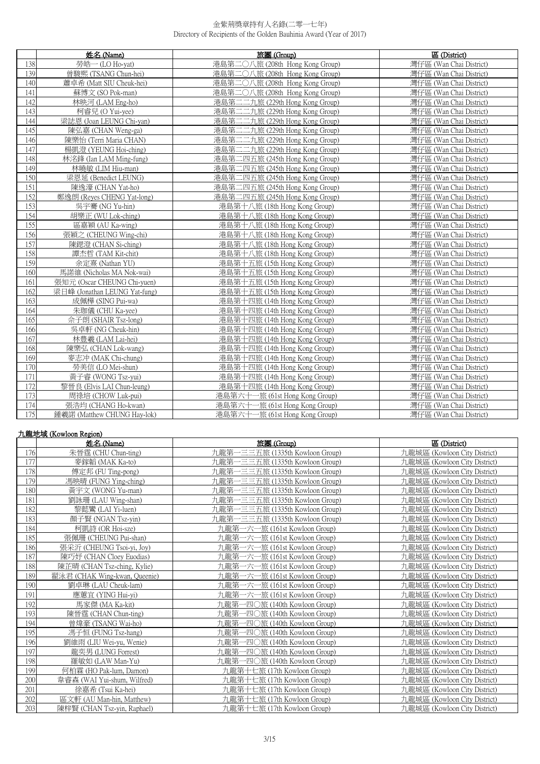|     | 姓名 (Name)                     | 旅團 (Group)                      | 區 (District)            |
|-----|-------------------------------|---------------------------------|-------------------------|
| 138 | 勞皓一 (LO Ho-yat)               | 港島第二〇八旅 (208th Hong Kong Group) | 灣仔區 (Wan Chai District) |
| 139 | 曾駿熙 (TSANG Chun-hei)          | 港島第二〇八旅 (208th Hong Kong Group) | 灣仔區 (Wan Chai District) |
| 140 | 蕭卓希 (Matt SIU Cheuk-hei)      | 港島第二〇八旅 (208th Hong Kong Group) | 灣仔區 (Wan Chai District) |
| 141 | 蘇博文 (SO Pok-man)              | 港島第二〇八旅 (208th Hong Kong Group) | 灣仔區 (Wan Chai District) |
| 142 | 林映河 (LAM Eng-ho)              | 港島第二二九旅 (229th Hong Kong Group) | 灣仔區 (Wan Chai District) |
| 143 | 柯睿兒 (O Yui-yee)               | 港島第二二九旅 (229th Hong Kong Group) | 灣仔區 (Wan Chai District) |
| 144 | 梁誌恩 (Joan LEUNG Chi-yan)      | 港島第二二九旅 (229th Hong Kong Group) | 灣仔區 (Wan Chai District) |
| 145 | 陳弘嘉 (CHAN Weng-ga)            | 港島第二二九旅 (229th Hong Kong Group) | 灣仔區 (Wan Chai District) |
| 146 | 陳樂怡 (Terri Maria CHAN)        | 港島第二二九旅 (229th Hong Kong Group) | 灣仔區 (Wan Chai District) |
| 147 | 楊凱澄 (YEUNG Hoi-ching)         | 港島第二二九旅 (229th Hong Kong Group) | 灣仔區 (Wan Chai District) |
| 148 | 林洺鋒 (Ian LAM Ming-fung)       | 港島第二四五旅 (245th Hong Kong Group) | 灣仔區 (Wan Chai District) |
| 149 | 林曉敏 (LIM Hiu-man)             | 港島第二四五旅 (245th Hong Kong Group) | 灣仔區 (Wan Chai District) |
| 150 | 梁恩延 (Benedict LEUNG)          | 港島第二四五旅 (245th Hong Kong Group) | 灣仔區 (Wan Chai District) |
| 151 | 陳逸濠 (CHAN Yat-ho)             | 港島第二四五旅 (245th Hong Kong Group) | 灣仔區 (Wan Chai District) |
| 152 | 鄭逸朗 (Reves CHENG Yat-long)    | 港島第二四五旅 (245th Hong Kong Group) | 灣仔區 (Wan Chai District) |
| 153 | 吳宇騫 (NG Yu-hin)               | 港島第十八旅 (18th Hong Kong Group)   | 灣仔區 (Wan Chai District) |
| 154 | 胡樂正 (WU Lok-ching)            | 港島第十八旅 (18th Hong Kong Group)   | 灣仔區 (Wan Chai District) |
| 155 | 區嘉穎 (AU Ka-wing)              | 港島第十八旅 (18th Hong Kong Group)   | 灣仔區 (Wan Chai District) |
| 156 | 張穎之 (CHEUNG Wing-chi)         | 港島第十八旅 (18th Hong Kong Group)   | 灣仔區 (Wan Chai District) |
| 157 | 陳鍶澄 (CHAN Si-ching)           | 港島第十八旅 (18th Hong Kong Group)   | 灣仔區 (Wan Chai District) |
| 158 | 譚杰哲 (TAM Kit-chit)            | 港島第十八旅 (18th Hong Kong Group)   | 灣仔區 (Wan Chai District) |
| 159 | 余定熹 (Nathan YU)               | 港島第十五旅 (15th Hong Kong Group)   | 灣仔區 (Wan Chai District) |
| 160 | 馬諾維 (Nicholas MA Nok-wai)     | 港島第十五旅 (15th Hong Kong Group)   | 灣仔區 (Wan Chai District) |
| 161 | 張知元 (Oscar CHEUNG Chi-yuen)   | 港島第十五旅 (15th Hong Kong Group)   | 灣仔區 (Wan Chai District) |
| 162 | 梁日峰 (Jonathan LEUNG Yat-fung) | 港島第十五旅 (15th Hong Kong Group)   | 灣仔區 (Wan Chai District) |
| 163 | 成佩樺 (SING Pui-wa)             | 港島第十四旅 (14th Hong Kong Group)   | 灣仔區 (Wan Chai District) |
| 164 | 朱珈儀 (CHU Ka-yee)              | 港島第十四旅 (14th Hong Kong Group)   | 灣仔區 (Wan Chai District) |
| 165 | 佘子朗 (SHAIR Tsz-long)          | 港島第十四旅 (14th Hong Kong Group)   | 灣仔區 (Wan Chai District) |
| 166 | 吳卓軒 (NG Cheuk-hin)            | 港島第十四旅 (14th Hong Kong Group)   | 灣仔區 (Wan Chai District) |
| 167 | 林豊羲 (LAM Lai-hei)             | 港島第十四旅 (14th Hong Kong Group)   | 灣仔區 (Wan Chai District) |
| 168 | 陳樂弘 (CHAN Lok-wang)           | 港島第十四旅 (14th Hong Kong Group)   | 灣仔區 (Wan Chai District) |
| 169 | 麥志冲 (MAK Chi-chung)           | 港島第十四旅 (14th Hong Kong Group)   | 灣仔區 (Wan Chai District) |
| 170 | 勞美信 (LO Mei-shun)             | 港島第十四旅 (14th Hong Kong Group)   | 灣仔區 (Wan Chai District) |
| 171 | 黃子睿 (WONG Tsz-yui)            | 港島第十四旅 (14th Hong Kong Group)   | 灣仔區 (Wan Chai District) |
| 172 | 黎晉良 (Elvis LAI Chun-leung)    | 港島第十四旅 (14th Hong Kong Group)   | 灣仔區 (Wan Chai District) |
| 173 | 周祿培 (CHOW Luk-pui)            | 港島第六十一旅 (61st Hong Kong Group)  | 灣仔區 (Wan Chai District) |
| 174 | 張浩均 (CHANG Ho-kwan)           | 港島第六十一旅 (61st Hong Kong Group)  | 灣仔區 (Wan Chai District) |
| 175 | 鍾羲諾 (Matthew CHUNG Hay-lok)   | 港島第六十一旅 (61st Hong Kong Group)  | 灣仔區 (Wan Chai District) |

# 九龍地域 (Kowloon Region)

|     | 姓名 (Name)                     | 旅團(Group)                            | 區 (District)                 |
|-----|-------------------------------|--------------------------------------|------------------------------|
| 176 | 朱晉霆 (CHU Chun-ting)           | 九龍第一三三五旅 (1335th Kowloon Group)      | 九龍城區 (Kowloon City District) |
| 177 | 麥鎵韜 (MAK Ka-to)               | 九龍第一三三五旅 (1335th Kowloon Group)      | 九龍城區 (Kowloon City District) |
| 178 | 傅定邦 (FU Ting-pong)            | 九龍第一三三五旅 (1335th Kowloon Group)      | 九龍城區 (Kowloon City District) |
| 179 | 馮映晴 (FUNG Ying-ching)         | 九龍第一三三五旅 (1335th Kowloon Group)      | 九龍城區 (Kowloon City District) |
| 180 | 黃宇文 (WONG Yu-man)             | 一三三五旅 (1335th Kowloon Group)<br>九龍第一 | 九龍城區 (Kowloon City District) |
| 181 | 劉詠珊 (LAU Wing-shan)           | 九龍第一三三五旅 (1335th Kowloon Group)      | 九龍城區 (Kowloon City District) |
| 182 | 黎懿鸞 (LAI Yi-luen)             | 九龍第<br>一三三五旅 (1335th Kowloon Group)  | 九龍城區 (Kowloon City District) |
| 183 | 顏子賢 (NGAN Tsz-yin)            | 九龍第一三三五旅 (1335th Kowloon Group)      | 九龍城區 (Kowloon City District) |
| 184 | 柯凱詩 (OR Hoi-sze)              | 九龍第一六一旅 (161st Kowloon Group)        | 九龍城區 (Kowloon City District) |
| 185 | 張佩珊 (CHEUNG Pui-shan)         | 九龍第一六一旅 (161st Kowloon Group)        | 九龍城區 (Kowloon City District) |
| 186 | 張采沂 (CHEUNG Tsoi-yi, Joy)     | 九龍第一六一旅 (161st Kowloon Group)        | 九龍城區 (Kowloon City District) |
| 187 | 陳巧妤 (CHAN Cloey Euodias)      | 九龍第一六一旅 (161st Kowloon Group)        | 九龍城區 (Kowloon City District) |
| 188 | 陳芷晴 (CHAN Tsz-ching, Kylie)   | 九龍第一六一旅 (161st Kowloon Group)        | 九龍城區 (Kowloon City District) |
| 189 | 翟泳君 (CHAK Wing-kwan, Queenie) | 九龍第<br>一六一旅 (161st Kowloon Group)    | 九龍城區 (Kowloon City District) |
| 190 | 劉卓琳 (LAU Cheuk-lam)           | 九龍第一六一旅 (161st Kowloon Group)        | 九龍城區 (Kowloon City District) |
| 191 | 應蕙官 (YING Hui-vi)             | 九龍第-<br>一六一旅 (161st Kowloon Group)   | 九龍城區 (Kowloon City District) |
| 192 | 馬家傑 (MA Ka-kit)               | 九龍第<br>→四○旅 (140th Kowloon Group)    | 九龍城區 (Kowloon City District) |
| 193 | 陳晉霆 (CHAN Chun-ting)          | 九龍第<br>一四〇旅 (140th Kowloon Group)    | 九龍城區 (Kowloon City District) |
| 194 | 曾煒豪 (TSANG Wai-ho)            | 九龍第·<br>一四〇旅 (140th Kowloon Group)   | 九龍城區 (Kowloon City District) |
| 195 | 馮子恒 (FUNG Tsz-hang)           | 九龍第一四〇旅 (140th Kowloon Group)        | 九龍城區 (Kowloon City District) |
| 196 | 劉維雨 (LIU Wei-yu, Wenie)       | 九龍第一四〇旅 (140th Kowloon Group)        | 九龍城區 (Kowloon City District) |
| 197 | 龍奕男 (LUNG Forrest)            | 九龍第一四〇旅 (140th Kowloon Group)        | 九龍城區 (Kowloon City District) |
| 198 | 羅敏如 (LAW Man-Yu)              | 九龍第一四〇旅 (140th Kowloon Group)        | 九龍城區 (Kowloon City District) |
| 199 | 何柏霖 (HO Pak-lum, Damon)       | 九龍第十七旅 (17th Kowloon Group)          | 九龍城區 (Kowloon City District) |
| 200 | 韋睿森 (WAI Yui-shum, Wilfred)   | 九龍第十七旅 (17th Kowloon Group)          | 九龍城區 (Kowloon City District) |
| 201 | 徐嘉希 (Tsui Ka-hei)             | 九龍第十七旅 (17th Kowloon Group)          | 九龍城區 (Kowloon City District) |
| 202 | 區文軒 (AU Man-hin, Matthew)     | 九龍第十七旅 (17th Kowloon Group)          | 九龍城區 (Kowloon City District) |
| 203 | 陳梓賢 (CHAN Tsz-yin, Raphael)   | 九龍第十七旅 (17th Kowloon Group)          | 九龍城區 (Kowloon City District) |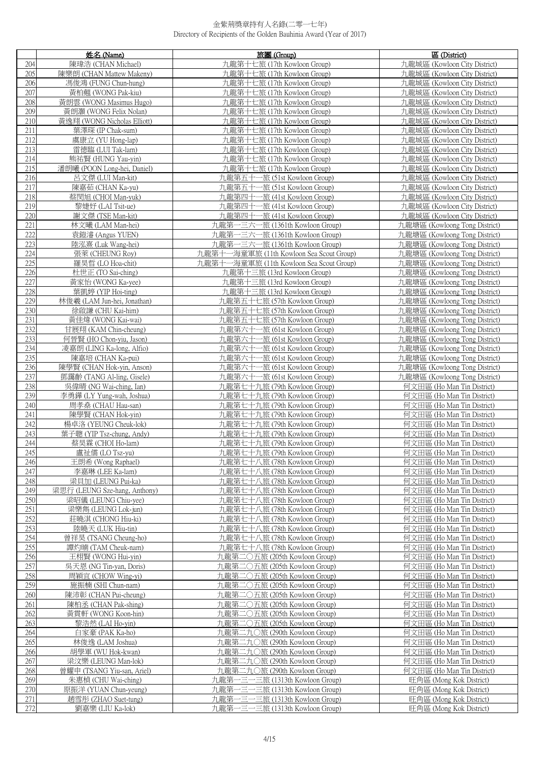|            | 姓名 (Name)                                        | 旅團 (Group)                                                         | 區 (District)                                                   |
|------------|--------------------------------------------------|--------------------------------------------------------------------|----------------------------------------------------------------|
| 204        | 陳瑋浩 (CHAN Michael)                               | 九龍第十七旅 (17th Kowloon Group)                                        | 九龍城區 (Kowloon City District)                                   |
| 205        | 陳樂朗 (CHAN Mattew Makeny)                         | 九龍第十七旅 (17th Kowloon Group)                                        | 九龍城區 (Kowloon City District)                                   |
| 206        | 馮俊鴻 (FUNG Chun-hung)                             | 九龍第十七旅 (17th Kowloon Group)                                        | 九龍城區 (Kowloon City District)                                   |
| 207        | 黃柏翹 (WONG Pak-kiu)                               | 九龍第十七旅 (17th Kowloon Group)                                        | 九龍城區 (Kowloon City District)                                   |
| 208        | 黃朗雲 (WONG Masimus Hugo)                          | 九龍第十七旅 (17th Kowloon Group)                                        | 九龍城區 (Kowloon City District)                                   |
| 209        | 黃朗灝 (WONG Felix Nolan)                           | 九龍第十七旅 (17th Kowloon Group)                                        | 九龍城區 (Kowloon City District)                                   |
| 210        | 黃逸翔 (WONG Nicholas Elliott)                      | 九龍第十七旅 (17th Kowloon Group)                                        | 九龍城區 (Kowloon City District)                                   |
| 211        | 葉澤琛 (IP Chak-sum)                                | 九龍第十七旅 (17th Kowloon Group)                                        | 九龍城區 (Kowloon City District)                                   |
| 212        | 虞康立 (YU Hong-lap)                                | 九龍第十七旅 (17th Kowloon Group)                                        | 九龍城區 (Kowloon City District)                                   |
| 213        | 雷德臨 (LUI Tak-lam)                                | 九龍第十七旅 (17th Kowloon Group)                                        | 九龍城區 (Kowloon City District)                                   |
| 214        | 熊祐賢 (HUNG Yau-yin)                               | 九龍第十七旅 (17th Kowloon Group)                                        | 九龍城區 (Kowloon City District)                                   |
| 215        | 潘朗曦 (POON Long-hei, Daniel)                      | 九龍第十七旅 (17th Kowloon Group)                                        | 九龍城區 (Kowloon City District)                                   |
| 216        | 呂文傑 (LUI Man-kit)                                | 九龍第五十一旅 (51st Kowloon Group)                                       | 九龍城區 (Kowloon City District)                                   |
| 217        | 陳嘉茹 (CHAN Ka-yu)                                 | 九龍第五十一旅 (51st Kowloon Group)                                       | 九龍城區 (Kowloon City District)                                   |
| 218        | 蔡閔旭 (CHOI Man-yuk)                               | 九龍第四十一旅 (41st Kowloon Group)                                       | 九龍城區 (Kowloon City District)                                   |
| 219        | 黎婕妤 (LAI Tsit-ue)                                | 九龍第四十一旅 (41st Kowloon Group)                                       | 九龍城區 (Kowloon City District)                                   |
| 220        | 謝文傑 (TSE Man-kit)                                | 九龍第四十一旅 (41st Kowloon Group)                                       | 九龍城區 (Kowloon City District)                                   |
| 221        | 林文曦 (LAM Man-hei)                                | 九龍第一三六一旅 (1361th Kowloon Group)                                    | 九龍塘區 (Kowloong Tong District)                                  |
| 222        | 袁鎧濬 (Angus YUEN)                                 | 九龍第一三六一旅 (1361th Kowloon Group)                                    | 九龍塘區 (Kowloong Tong District)                                  |
| 223        | 陸泓熹 (Luk Wang-hei)                               | 九龍第一三六一旅 (1361th Kowloon Group)                                    | 九龍塘區 (Kowloong Tong District)                                  |
| 224        | 張萊 (CHEUNG Roy)                                  | 九龍第十一海童軍旅 (11th Kowloon Sea Scout Group)                           | 九龍塘區 (Kowloong Tong District)                                  |
| 225        | 羅昊晢 (LO Hoa-chit)                                | 九龍第十一海童軍旅 (11th Kowloon Sea Scout Group)                           | 九龍塘區 (Kowloong Tong District)                                  |
| 226        | 杜世正 (TO Sai-ching)                               | 九龍第十三旅 (13rd Kowloon Group)                                        | 九龍塘區 (Kowloong Tong District)                                  |
| 227        | 黃家怡 (WONG Ka-yee)                                | 九龍第十三旅 (13rd Kowloon Group)                                        | 九龍塘區 (Kowloong Tong District)                                  |
| 228        | 葉凱婷 (YIP Hoi-ting)                               | 九龍第十三旅 (13rd Kowloon Group)                                        | 九龍塘區 (Kowloong Tong District)                                  |
| 229<br>230 | 林俊羲 (LAM Jun-hei, Jonathan)<br>徐啟謙 (CHU Kai-him) | 九龍第五十七旅 (57th Kowloon Group)<br>九龍第五十七旅 (57th Kowloon Group)       | 九龍塘區 (Kowloong Tong District)<br>九龍塘區 (Kowloong Tong District) |
| 231        | 黃佳煒 (WONG Kai-wai)                               | 九龍第五十七旅 (57th Kowloon Group)                                       | 九龍塘區 (Kowloong Tong District)                                  |
| 232        | 甘展翔 (KAM Chin-cheung)                            | 九龍第六十一旅 (61st Kowloon Group)                                       | 九龍塘區 (Kowloong Tong District)                                  |
| 233        | 何晉賢 (HO Chon-yiu, Jason)                         | 九龍第六十一旅 (61st Kowloon Group)                                       | 九龍塘區 (Kowloong Tong District)                                  |
| 234        | 凌嘉朗 (LING Ka-long, Alfio)                        | 九龍第六十一旅 (61st Kowloon Group)                                       | 九龍塘區 (Kowloong Tong District)                                  |
| 235        | 陳嘉培 (CHAN Ka-pui)                                | 九龍第六十一旅 (61st Kowloon Group)                                       | 九龍塘區 (Kowloong Tong District)                                  |
| 236        | 陳學賢 (CHAN Hok-yin, Anson)                        | 九龍第六十一旅 (61st Kowloon Group)                                       | 九龍塘區 (Kowloong Tong District)                                  |
| 237        | 鄧靄齡 (TANG Al-ling, Gisele)                       | 九龍第六十一旅 (61st Kowloon Group)                                       | 九龍塘區 (Kowloong Tong District)                                  |
| 238        | 吳偉晴 (NG Wai-ching, Ian)                          | 九龍第七十九旅 (79th Kowloon Group)                                       | 何文田區 (Ho Man Tin District)                                     |
| 239        | 李勇鏵 (LY Yung-wah, Joshua)                        | 九龍第七十九旅 (79th Kowloon Group)                                       | 何文田區 (Ho Man Tin District)                                     |
| 240        | 周孝燊 (CHAU Hau-san)                               | 九龍第七十九旅 (79th Kowloon Group)                                       | 何文田區 (Ho Man Tin District)                                     |
| 241        | 陳學賢 (CHAN Hok-vin)                               | 九龍第七十九旅 (79th Kowloon Group)                                       | 何文田區 (Ho Man Tin District)                                     |
| 242        | 楊卓洛 (YEUNG Cheuk-lok)                            | 九龍第七十九旅 (79th Kowloon Group)                                       | 何文田區 (Ho Man Tin District)                                     |
| 243<br>244 | 葉子聰 (YIP Tsz-chung, Andy)                        | 九龍第七十九旅 (79th Kowloon Group)                                       | 何文田區 (Ho Man Tin District)                                     |
| 245        | 蔡昊霖 (CHOI Ho-lam)<br>盧祉儒 (LO Tsz-yu)             | 九龍第七十九旅 (79th Kowloon Group)<br>九龍第七十九旅 (79th Kowloon Group)       | 何文田區 (Ho Man Tin District)<br>何文田區 (Ho Man Tin District)       |
| 246        | 王朗希 (Wong Raphael)                               | 九龍第七十八旅 (78th Kowloon Group)                                       | 何文田區 (Ho Man Tin District)                                     |
| 247        | 李嘉琳 (LEE Ka-lam)                                 | 九龍第七十八旅 (78th Kowloon Group)                                       | 何文田區 (Ho Man Tin District)                                     |
| 248        | 梁貝加 (LEUNG Pui-ka)                               | 九龍第七十八旅 (78th Kowloon Group)                                       | 何文田區 (Ho Man Tin District)                                     |
| 249        | 梁思行 (LEUNG Sze-hang, Anthony)                    | 九龍第七十八旅 (78th Kowloon Group)                                       | 何文田區 (Ho Man Tin District)                                     |
| 250        | 梁昭儀 (LEUNG Chiu-yee)                             | 九龍第七十八旅 (78th Kowloon Group)                                       | 何文田區 (Ho Man Tin District)                                     |
| 251        | 梁樂雋 (LEUNG Lok-jun)                              | 九龍第七十八旅 (78th Kowloon Group)                                       | 何文田區 (Ho Man Tin District)                                     |
| 252        | 莊曉淇 (CHONG Hiu-ki)                               | 九龍第七十八旅 (78th Kowloon Group)                                       | 何文田區 (Ho Man Tin District)                                     |
| 253        | 陸曉天 (LUK Hiu-tin)                                | 九龍第七十八旅 (78th Kowloon Group)                                       | 何文田區 (Ho Man Tin District)                                     |
| 254<br>255 | 曾祥昊 (TSANG Cheung-ho)<br>譚灼喃 (TAM Cheuk-nam)     | 九龍第七十八旅 (78th Kowloon Group)                                       | 何文田區 (Ho Man Tin District)<br>何文田區 (Ho Man Tin District)       |
| 256        | 王栩賢 (WONG Hui-yin)                               | 九龍第七十八旅 (78th Kowloon Group)<br>九龍第二〇五旅 (205th Kowloon Group)      | 何文田區 (Ho Man Tin District)                                     |
| 257        | 吳天恩 (NG Tin-yan, Doris)                          | 九龍第二〇五旅 (205th Kowloon Group)                                      | 何文田區 (Ho Man Tin District)                                     |
| 258        | 周穎宜 (CHOW Wing-yi)                               | 九龍第二〇五旅 (205th Kowloon Group)                                      | 何文田區 (Ho Man Tin District)                                     |
| 259        | 施振楠 (SHI Chun-nam)                               | 九龍第二〇五旅 (205th Kowloon Group)                                      | 何文田區 (Ho Man Tin District)                                     |
| 260        | 陳沛彰 (CHAN Pui-cheung)                            | 九龍第二〇五旅 (205th Kowloon Group)                                      | 何文田區 (Ho Man Tin District)                                     |
| 261        | 陳柏丞 (CHAN Pak-shing)                             | 九龍第二〇五旅 (205th Kowloon Group)                                      | 何文田區 (Ho Man Tin District)                                     |
| 262        | 黃貫軒 (WONG Koon-hin)                              | 九龍第二〇五旅 (205th Kowloon Group)                                      | 何文田區 (Ho Man Tin District)                                     |
| 263        | 黎浩然 (LAI Ho-yin)                                 | 九龍第二〇五旅 (205th Kowloon Group)                                      | 何文田區 (Ho Man Tin District)                                     |
| 264        | 白家豪 (PAK Ka-ho)                                  | 九龍第二九〇旅 (290th Kowloon Group)                                      | 何文田區 (Ho Man Tin District)                                     |
| 265        | 林俊逸 (LAM Joshua)                                 | 九龍第二九〇旅 (290th Kowloon Group)                                      | 何文田區 (Ho Man Tin District)                                     |
| 266        | 胡學軍 (WU Hok-kwan)                                | 九龍第二九〇旅 (290th Kowloon Group)                                      | 何文田區 (Ho Man Tin District)                                     |
| 267        | 梁汶樂 (LEUNG Man-lok)                              | 九龍第二九〇旅 (290th Kowloon Group)                                      | 何文田區 (Ho Man Tin District)                                     |
| 268        | 曾耀申 (TSANG Yiu-san, Ariel)                       | 九龍第二九〇旅 (290th Kowloon Group)                                      | 何文田區 (Ho Man Tin District)                                     |
| 269<br>270 | 朱惠楨 (CHU Wai-ching)                              | 九龍第一三一三旅 (1313th Kowloon Group)                                    | 旺角區 (Mong Kok District)<br>旺角區 (Mong Kok District)             |
| 271        | 原振洋 (YUAN Chun-yeung)<br>趙雪彤 (ZHAO Suet-tung)    | 九龍第一三一三旅 (1313th Kowloon Group)<br>九龍第一三一三旅 (1313th Kowloon Group) | 旺角區 (Mong Kok District)                                        |
| 272        | 劉嘉樂 (LIU Ka-lok)                                 | 九龍第一三一三旅 (1313th Kowloon Group)                                    | 旺角區 (Mong Kok District)                                        |
|            |                                                  |                                                                    |                                                                |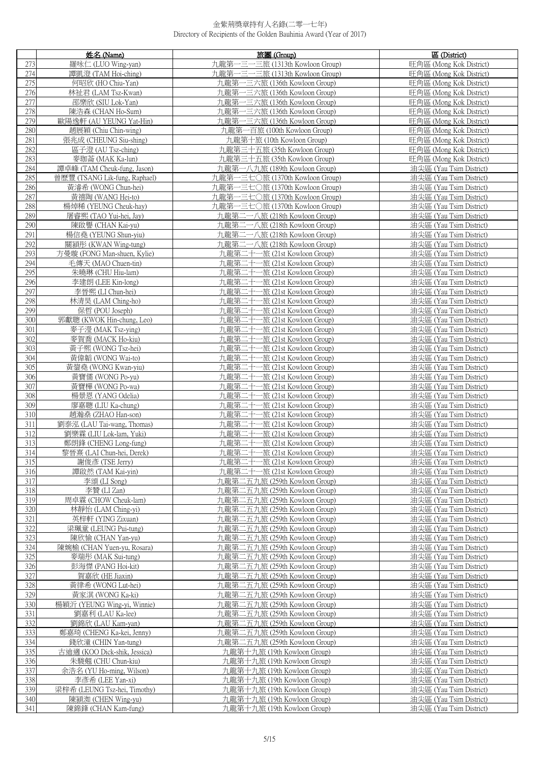|            | 姓名 (Name)                                             | 旅團 (Group)                                                     | 區 (District)                                       |
|------------|-------------------------------------------------------|----------------------------------------------------------------|----------------------------------------------------|
| 273        | 羅咏仁 (LUO Wing-yan)                                    | 九龍第一三一三旅 (1313th Kowloon Group)                                | 旺角區 (Mong Kok District)                            |
| 274        | 譚凱澄 (TAM Hoi-ching)                                   | 九龍第一三一三旅 (1313th Kowloon Group)                                | 旺角區 (Mong Kok District)                            |
| 275        | 何昭欣 (HO Chiu-Yan)                                     | 九龍第一三六旅 (136th Kowloon Group)                                  | 旺角區 (Mong Kok District)                            |
| 276        | 林祉君 (LAM Tsz-Kwan)                                    | 九龍第一三六旅 (136th Kowloon Group)                                  | 旺角區 (Mong Kok District)                            |
| 277        | 邵樂欣 (SIU Lok-Yan)                                     | 九龍第一三六旅 (136th Kowloon Group)                                  | 旺角區 (Mong Kok District)                            |
| 278        | 陳浩森 (CHAN Ho-Sum)                                     | 九龍第一三六旅 (136th Kowloon Group)                                  | 旺角區 (Mong Kok District)                            |
| 279        | 歐陽逸軒 (AU YEUNG Yat-Hin)                               | 九龍第一三六旅 (136th Kowloon Group)                                  | 旺角區 (Mong Kok District)                            |
| 280        | 趙展穎 (Chiu Chin-wing)                                  | 九龍第一百旅 (100th Kowloon Group)                                   | 旺角區 (Mong Kok District)                            |
| 281        | 張兆成 (CHEUNG Siu-shing)                                | 九龍第十旅 (10th Kowloon Group)                                     | 旺角區 (Mong Kok District)                            |
| 282        | 區子澄 (AU Tsz-ching)                                    | 九龍第三十五旅 (35th Kowloon Group)                                   | 旺角區 (Mong Kok District)                            |
| 283        | 麥珈菕 (MAK Ka-lun)                                      | 九龍第三十五旅 (35th Kowloon Group)                                   | 旺角區 (Mong Kok District)                            |
| 284        | 譚卓峰 (TAM Cheuk-fung, Jason)                           | 九龍第一八九旅 (189th Kowloon Group)                                  | 油尖區 (Yau Tsim District)                            |
| 285        | 曾歷豐 (TSANG Lik-fung, Raphael)                         | 九龍第一三七〇旅 (1370th Kowloon Group)                                | 油尖區 (Yau Tsim District)                            |
| 286        | 黃濬希 (WONG Chun-hei)                                   | 九龍第一三七〇旅 (1370th Kowloon Group)                                | 油尖區 (Yau Tsim District)                            |
| 287        | 黃禧陶 (WANG Hei-to)                                     | 九龍第一三七〇旅 (1370th Kowloon Group)                                | 油尖區 (Yau Tsim District)                            |
| 288        | 楊焯稀 (YEUNG Cheuk-hay)                                 | 九龍第一三七〇旅 (1370th Kowloon Group)                                | 油尖區 (Yau Tsim District)                            |
| 289        | 屠睿熙 (TAO Yui-hei, Jay)                                | 九龍第二一八旅 (218th Kowloon Group)                                  | 油尖區 (Yau Tsim District)                            |
| 290        | 陳啟譽 (CHAN Kai-yu)                                     | 九龍第二一八旅 (218th Kowloon Group)                                  | 油尖區 (Yau Tsim District)                            |
| 291        | 楊信堯 (YEUNG Shun-yiu)                                  | 九龍第二一八旅 (218th Kowloon Group)                                  | 油尖區 (Yau Tsim District)                            |
| 292        | 關穎彤 (KWAN Wing-tung)                                  | 九龍第二一八旅 (218th Kowloon Group)                                  | 油尖區 (Yau Tsim District)                            |
| 293        | 方曼璇 (FONG Man-shuen, Kylie)                           | 九龍第二十一旅 (21st Kowloon Group)                                   | 油尖區 (Yau Tsim District)                            |
| 294        | 毛傳天 (MAO Chuen-tin)                                   | 九龍第二十一旅 (21st Kowloon Group)                                   | 油尖區 (Yau Tsim District)                            |
| 295        | 朱曉琳 (CHU Hiu-lam)                                     | 九龍第二十一旅 (21st Kowloon Group)                                   | 油尖區 (Yau Tsim District)                            |
| 296        | 李建朗 (LEE Kin-long)                                    | 九龍第二十一旅 (21st Kowloon Group)                                   | 油尖區 (Yau Tsim District)                            |
| 297<br>298 | 李晉熙 (LI Chun-hei)<br>林清昊 (LAM Ching-ho)               | 九龍第二十一旅 (21st Kowloon Group)<br>九龍第二十一旅 (21st Kowloon Group)   | 油尖區 (Yau Tsim District)<br>油尖區 (Yau Tsim District) |
| 299        | 保哲 (POU Joseph)                                       | 九龍第二十一旅 (21st Kowloon Group)                                   | 油尖區 (Yau Tsim District)                            |
| 300        | 郭獻聰 (KWOK Hin-chung, Leo)                             | 九龍第二十一旅 (21st Kowloon Group)                                   | 油尖區 (Yau Tsim District)                            |
| 301        | 麥子瀅 (MAK Tsz-ying)                                    | 九龍第二十一旅 (21st Kowloon Group)                                   | 油尖區 (Yau Tsim District)                            |
| 302        | 麥賀喬 (MACK Ho-kiu)                                     | 九龍第二十一旅 (21st Kowloon Group)                                   | 油尖區 (Yau Tsim District)                            |
| 303        | 黃子熙 (WONG Tsz-hei)                                    | 九龍第二十一旅 (21st Kowloon Group)                                   | 油尖區 (Yau Tsim District)                            |
| 304        | 黃偉韜 (WONG Wai-to)                                     | 九龍第二十一旅 (21st Kowloon Group)                                   | 油尖區 (Yau Tsim District)                            |
| 305        | 黃鋆堯 (WONG Kwan-yiu)                                   | 九龍第二十一旅 (21st Kowloon Group)                                   | 油尖區 (Yau Tsim District)                            |
| 306        | 黃寶儒 (WONG Po-yu)                                      | 九龍第二十一旅 (21st Kowloon Group)                                   | 油尖區 (Yau Tsim District)                            |
| 307        | 黃寶樺 (WONG Po-wa)                                      | 九龍第二十一旅 (21st Kowloon Group)                                   | 油尖區 (Yau Tsim District)                            |
| 308        | 楊景恩 (YANG Odelia)                                     | 九龍第二十一旅 (21st Kowloon Group)                                   | 油尖區 (Yau Tsim District)                            |
| 309        | 廖嘉聰 (LIU Ka-chung)                                    | 九龍第二十一旅 (21st Kowloon Group)                                   | 油尖區 (Yau Tsim District)                            |
| 310        | 趙瀚燊 (ZHAO Han-son)                                    | 九龍第二十一旅 (21st Kowloon Group)                                   | 油尖區 (Yau Tsim District)                            |
| 311<br>312 | 劉泰泓 (LAU Tai-wang, Thomas)<br>劉樂霖 (LIU Lok-lam, Yuki) | 九龍第二十一旅 (21st Kowloon Group)<br>九龍第二十一旅 (21st Kowloon Group)   | 油尖區 (Yau Tsim District)<br>油尖區 (Yau Tsim District) |
| 313        | 鄭朗鋒 (CHENG Long-fung)                                 | 九龍第二十一旅 (21st Kowloon Group)                                   | 油尖區 (Yau Tsim District)                            |
| 314        | 黎晉喜 (LAI Chun-hei, Derek)                             | 九龍第二十一旅 (21st Kowloon Group)                                   | 油尖區 (Yau Tsim District)                            |
| 315        | 謝俊彥 (TSE Jerry)                                       | 九龍第二十一旅 (21st Kowloon Group)                                   | 油尖區 (Yau Tsim District)                            |
| 316        | 譚啟然 (TAM Kai-yin)                                     | 九龍第二十一旅 (21st Kowloon Group)                                   | 油尖區 (Yau Tsim District)                            |
| 317        | 李頌 (LI Song)                                          | 九龍第二五九旅 (259th Kowloon Group)                                  | 油尖區 (Yau Tsim District)                            |
| 318        | 李贊 (LI Zan)                                           | 九龍第二五九旅 (259th Kowloon Group)                                  | 油尖區 (Yau Tsim District)                            |
| 319        | 周卓霖 (CHOW Cheuk-lam)                                  | 九龍第二五九旅 (259th Kowloon Group)                                  | 油尖區 (Yau Tsim District)                            |
| 320        | 林靜怡 (LAM Ching-yi)                                    | 九龍第二五九旅 (259th Kowloon Group)                                  | 油尖區 (Yau Tsim District)                            |
| 321        | 英梓軒 (YING Zixuan)                                     | 九龍第二五九旅 (259th Kowloon Group)                                  | 油尖區 (Yau Tsim District)                            |
| 322<br>323 | 梁珮童 (LEUNG Pui-tung)                                  | 九龍第二五九旅 (259th Kowloon Group)                                  | 油尖區 (Yau Tsim District)<br>油尖區 (Yau Tsim District) |
| 324        | 陳欣愉 (CHAN Yan-yu)<br>陳婉榆 (CHAN Yuen-yu, Rosara)       | 九龍第二五九旅 (259th Kowloon Group)<br>九龍第二五九旅 (259th Kowloon Group) | 油尖區 (Yau Tsim District)                            |
| 325        | 麥瑞彤 (MAK Sui-tung)                                    | 九龍第二五九旅 (259th Kowloon Group)                                  | 油尖區 (Yau Tsim District)                            |
| 326        | 彭海傑 (PANG Hoi-kit)                                    | 九龍第二五九旅 (259th Kowloon Group)                                  | 油尖區 (Yau Tsim District)                            |
| 327        | 賀嘉欣 (HE Jiaxin)                                       | 九龍第二五九旅 (259th Kowloon Group)                                  | 油尖區 (Yau Tsim District)                            |
| 328        | 黃律希 (WONG Lut-hei)                                    | 九龍第二五九旅 (259th Kowloon Group)                                  | 油尖區 (Yau Tsim District)                            |
| 329        | 黃家淇 (WONG Ka-ki)                                      | 九龍第二五九旅 (259th Kowloon Group)                                  | 油尖區 (Yau Tsim District)                            |
| 330        | 楊穎沂 (YEUNG Wing-yi, Winnie)                           | 九龍第二五九旅 (259th Kowloon Group)                                  | 油尖區 (Yau Tsim District)                            |
| 331        | 劉嘉利 (LAU Ka-lee)                                      | 九龍第二五九旅 (259th Kowloon Group)                                  | 油尖區 (Yau Tsim District)                            |
| 332        | 劉錦欣 (LAU Kam-yan)                                     | 九龍第二五九旅 (259th Kowloon Group)                                  | 油尖區 (Yau Tsim District)                            |
| 333        | 鄭嘉琦 (CHENG Ka-kei, Jenny)                             | 九龍第二五九旅 (259th Kowloon Group)                                  | 油尖區 (Yau Tsim District)                            |
| 334        | 錢欣潼 (CHIN Yan-tung)                                   | 九龍第二五九旅 (259th Kowloon Group)                                  | 油尖區 (Yau Tsim District)                            |
| 335        | 古迪適 (KOO Dick-shik, Jessica)                          | 九龍第十九旅 (19th Kowloon Group)                                    | 油尖區 (Yau Tsim District)                            |
| 336<br>337 | 朱駿翹 (CHU Chun-kiu)<br>余浩名 (YU Ho-ming, Wilson)        | 九龍第十九旅 (19th Kowloon Group)<br>九龍第十九旅 (19th Kowloon Group)     | 油尖區 (Yau Tsim District)<br>油尖區 (Yau Tsim District) |
| 338        | 李彥希 (LEE Yan-xi)                                      | 九龍第十九旅 (19th Kowloon Group)                                    | 油尖區 (Yau Tsim District)                            |
| 339        | 梁梓希 (LEUNG Tsz-hei, Timothy)                          | 九龍第十九旅 (19th Kowloon Group)                                    | 油尖區 (Yau Tsim District)                            |
| 340        | 陳潁洳 (CHEN Wing-yu)                                    | 九龍第十九旅 (19th Kowloon Group)                                    | 油尖區 (Yau Tsim District)                            |
| 341        | 陳錦鋒 (CHAN Kam-fung)                                   | 九龍第十九旅 (19th Kowloon Group)                                    | 油尖區 (Yau Tsim District)                            |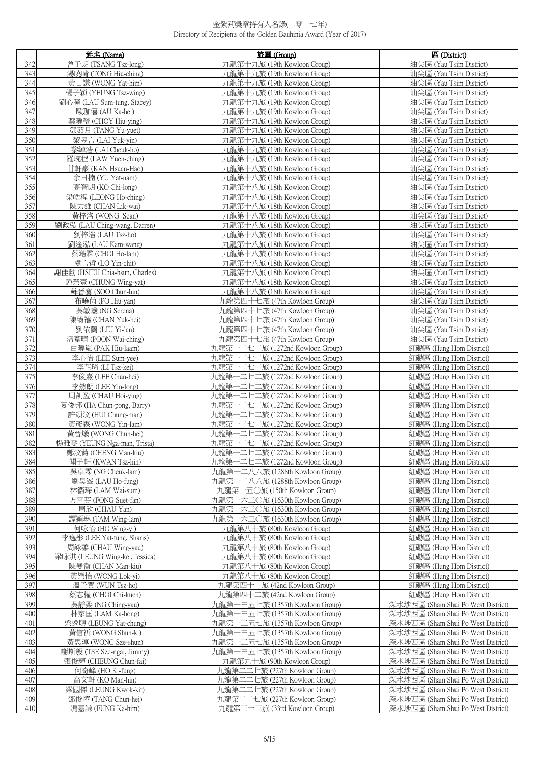|            | 姓名 (Name)                                  | 旅團 (Group)                                                         | 區 (District)                                                             |
|------------|--------------------------------------------|--------------------------------------------------------------------|--------------------------------------------------------------------------|
| 342        | 曾子朗(TSANG Tsz-long)                        | 九龍第十九旅 (19th Kowloon Group)                                        | 油尖區 (Yau Tsim District)                                                  |
| 343        | 湯曉晴 (TONG Hiu-ching)                       | 九龍第十九旅 (19th Kowloon Group)                                        | 油尖區 (Yau Tsim District)                                                  |
| 344        | 黃日謙 (WONG Yat-him)                         | 九龍第十九旅 (19th Kowloon Group)                                        | 油尖區 (Yau Tsim District)                                                  |
| 345        | 楊子穎 (YEUNG Tsz-wing)                       | 九龍第十九旅 (19th Kowloon Group)                                        | 油尖區 (Yau Tsim District)                                                  |
| 346        | 劉心瞳 (LAU Sum-tung, Stacey)                 | 九龍第十九旅 (19th Kowloon Group)                                        | 油尖區 (Yau Tsim District)                                                  |
| 347        | 歐珈僖 (AU Ka-hei)                            | 九龍第十九旅 (19th Kowloon Group)                                        | 油尖區 (Yau Tsim District)                                                  |
| 348        | 蔡曉瑩 (CHOY Hiu-ying)                        | 九龍第十九旅 (19th Kowloon Group)                                        | 油尖區 (Yau Tsim District)                                                  |
| 349        | 鄧茹月 (TANG Yu-yuet)                         | 九龍第十九旅 (19th Kowloon Group)                                        | 油尖區 (Yau Tsim District)                                                  |
| 350        | 黎昱言 (LAI Yuk-yin)                          | 九龍第十九旅 (19th Kowloon Group)                                        | 油尖區 (Yau Tsim District)                                                  |
| 351        | 黎綽浩 (LAI Cheuk-ho)                         | 九龍第十九旅 (19th Kowloon Group)                                        | 油尖區 (Yau Tsim District)                                                  |
| 352        | 羅琬程 (LAW Yuen-ching)                       | 九龍第十九旅 (19th Kowloon Group)                                        | 油尖區 (Yau Tsim District)                                                  |
| 353        | 甘軒豪 (KAN Hsuan-Hao)                        | 九龍第十八旅 (18th Kowloon Group)                                        | 油尖區 (Yau Tsim District)                                                  |
| 354        | 余日楠 (YU Yat-nam)                           | 九龍第十八旅 (18th Kowloon Group)                                        | 油尖區 (Yau Tsim District)                                                  |
| 355        | 高智朗(KO Chi-long)                           | 九龍第十八旅 (18th Kowloon Group)                                        | 油尖區 (Yau Tsim District)                                                  |
| 356        | 梁皓程 (LEONG Ho-ching)                       | 九龍第十八旅 (18th Kowloon Group)                                        | 油尖區 (Yau Tsim District)                                                  |
| 357        | 陳力維 (CHAN Lik-wai)                         | 九龍第十八旅 (18th Kowloon Group)                                        | 油尖區 (Yau Tsim District)                                                  |
| 358        | 黃梓洛 (WONG Sean)                            | 九龍第十八旅 (18th Kowloon Group)                                        | 油尖區 (Yau Tsim District)                                                  |
| 359        | 劉政弘 (LAU Ching-wang, Darren)               | 九龍第十八旅 (18th Kowloon Group)                                        | 油尖區 (Yau Tsim District)                                                  |
| 360        | 劉梓浩 (LAU Tsz-ho)                           | 九龍第十八旅 (18th Kowloon Group)                                        | 油尖區 (Yau Tsim District)                                                  |
| 361        | 劉淦泓 (LAU Kam-wang)                         | 九龍第十八旅 (18th Kowloon Group)                                        | 油尖區 (Yau Tsim District)                                                  |
| 362        | 蔡澔霖 (CHOI Ho-lam)                          | 九龍第十八旅 (18th Kowloon Group)                                        | 油尖區 (Yau Tsim District)                                                  |
| 363        | 盧言哲 (LO Yin-chit)                          | 九龍第十八旅 (18th Kowloon Group)                                        | 油尖區 (Yau Tsim District)                                                  |
| 364        | 謝佳勳 (HSIEH Chia-hsun, Charles)             | 九龍第十八旅 (18th Kowloon Group)                                        | 油尖區 (Yau Tsim District)                                                  |
| 365        | 鍾榮壹 (CHUNG Wing-yat)                       | 九龍第十八旅 (18th Kowloon Group)                                        | 油尖區 (Yau Tsim District)                                                  |
| 366        | 蘇晉騫 (SOO Chun-hin)                         | 九龍第十八旅 (18th Kowloon Group)                                        | 油尖區 (Yau Tsim District)                                                  |
| 367        | 布曉茵 (PO Hiu-yan)                           | 九龍第四十七旅 (47th Kowloon Group)                                       | 油尖區 (Yau Tsim District)                                                  |
| 368        | 吳敏曦 (NG Serena)                            | 九龍第四十七旅 (47th Kowloon Group)                                       | 油尖區 (Yau Tsim District)                                                  |
| 369        | 陳堉禧 (CHAN Yuk-hei)                         | 九龍第四十七旅 (47th Kowloon Group)                                       | 油尖區 (Yau Tsim District)                                                  |
| 370<br>371 | 劉依蘭 (LIU Yi-lan)                           | 九龍第四十七旅 (47th Kowloon Group)                                       | 油尖區 (Yau Tsim District)<br>油尖區 (Yau Tsim District)                       |
| 372        | 潘葦晴 (POON Wai-ching)<br>白曉嵐 (PAK Hiu-laam) | 九龍第四十七旅 (47th Kowloon Group)<br>九龍第一二七二旅 (1272nd Kowloon Group)    | 紅磡區 (Hung Hom District)                                                  |
| 373        | 李心怡 (LEE Sum-yee)                          | 九龍第一二七二旅 (1272nd Kowloon Group)                                    | 紅磡區 (Hung Hom District)                                                  |
| 374        | 李芷琦 (LI Tsz-kei)                           | 九龍第一二七二旅 (1272nd Kowloon Group)                                    | 紅磡區 (Hung Hom District)                                                  |
| 375        | 李俊熹 (LEE Chun-hei)                         | 九龍第一二七二旅 (1272nd Kowloon Group)                                    | 紅磡區 (Hung Hom District)                                                  |
| 376        | 李然朗 (LEE Yin-long)                         | 九龍第一二七二旅 (1272nd Kowloon Group)                                    | 紅磡區 (Hung Hom District)                                                  |
| 377        | 周凱盈 (CHAU Hoi-ying)                        | 九龍第一二七二旅 (1272nd Kowloon Group)                                    | 紅磡區 (Hung Hom District)                                                  |
| 378        | 夏俊邦 (HA Chun-pong, Barry)                  | 九龍第一二七二旅 (1272nd Kowloon Group)                                    | 紅磡區 (Hung Hom District)                                                  |
| 379        | 許頌汶 (HUI Chung-man)                        | 九龍第一二七二旅 (1272nd Kowloon Group)                                    | 紅磡區 (Hung Hom District)                                                  |
| 380        | 黃彥霖 (WONG Yin-lam)                         | 九龍第一二七二旅 (1272nd Kowloon Group)                                    | 紅磡區 (Hung Hom District)                                                  |
| 381        | 黃晉爔 (WONG Chun-hei)                        | 九龍第一二七二旅 (1272nd Kowloon Group)                                    | 紅磡區 (Hung Hom District)                                                  |
| 382        | 楊雅雯 (YEUNG Nga-man, Trista)                | 九龍第一二七二旅 (1272nd Kowloon Group)                                    | 紅磡區 (Hung Hom District)                                                  |
| 383        | 鄭汶蕃 (CHENG Man-kiu)                        | 九龍第一二十二旅 (1272nd Kowloon Group)                                    | 紅磡區 (Hung Hom District)                                                  |
| 384<br>385 | 關子軒 (KWAN Tsz-hin)<br>吳卓霖 (NG Cheuk-lam)   | 九龍第一二七二旅 (1272nd Kowloon Group)<br>九龍第一二八八旅 (1288th Kowloon Group) | 紅磡區 (Hung Hom District)<br>紅磡區 (Hung Hom District)                       |
| 386        | 劉昊峯 (LAU Ho-fung)                          | 九龍第一二八八旅 (1288th Kowloon Group)                                    | 紅磡區 (Hung Hom District)                                                  |
| 387        | 林衞琛 (LAM Wai-sum)                          | 九龍第一五〇旅 (150th Kowloon Group)                                      | 红磡區 (Hung Hom District)                                                  |
| 388        | 方雪芬 (FONG Suet-fan)                        | 九龍第一六三〇旅 (1630th Kowloon Group)                                    | 紅磡區 (Hung Hom District)                                                  |
| 389        | 周欣 (CHAU Yan)                              | 九龍第一六三〇旅 (1630th Kowloon Group)                                    | 紅磡區 (Hung Hom District)                                                  |
| 390        | 譚穎琳 (TAM Wing-lam)                         | 九龍第一六三〇旅 (1630th Kowloon Group)                                    | 紅磡區 (Hung Hom District)                                                  |
| 391        | 何咏怡 (HO Wing-vi)                           | 九龍第八十旅 (80th Kowloon Group)                                        | 紅磡區 (Hung Hom District)                                                  |
| 392        | 李逸彤 (LEE Yat-tung, Sharis)                 | 九龍第八十旅 (80th Kowloon Group)                                        | 紅磡區 (Hung Hom District)                                                  |
| 393        | 周詠柔 (CHAU Wing-yau)                        | 九龍第八十旅 (80th Kowloon Group)                                        | 紅磡區 (Hung Hom District)                                                  |
| 394        | 梁昹淇 (LEUNG Wing-kei, Jessica)              | 九龍第八十旅 (80th Kowloon Group)                                        | 紅磡區 (Hung Hom District)                                                  |
| 395        | 陳曼喬 (CHAN Man-kiu)                         | 九龍第八十旅 (80th Kowloon Group)                                        | 紅磡區 (Hung Hom District)                                                  |
| 396        | 黃樂怡 (WONG Lok-yi)                          | 九龍第八十旅 (80th Kowloon Group)                                        | 紅磡區 (Hung Hom District)                                                  |
| 397        | 溫子賀 (WUN Tsz-ho)                           | 九龍第四十二旅 (42nd Kowloon Group)                                       | 紅磡區 (Hung Hom District)                                                  |
| 398<br>399 | 蔡志權 (CHOI Chi-kuen)                        | 九龍第四十二旅 (42nd Kowloon Group)                                       | 紅磡區 (Hung Hom District)                                                  |
| 400        | 吳靜柔 (NG Ching-yau)<br>林家匡 (LAM Ka-hong)    | 九龍第一三五七旅 (1357th Kowloon Group)<br>九龍第一三五七旅 (1357th Kowloon Group) | 深水埗西區 (Sham Shui Po West District)<br>深水埗西區 (Sham Shui Po West District) |
| 401        | 梁逸聰 (LEUNG Yat-chung)                      | 一三五七旅 (1357th Kowloon Group)<br>九龍第                                | 深水埗西區 (Sham Shui Po West District)                                       |
| 402        | 黃信祈 (WONG Shun-ki)                         | 一三五七旅 (1357th Kowloon Group)<br>九龍第                                | 深水埗西區 (Sham Shui Po West District)                                       |
| 403        | 黃思淳 (WONG Sze-shun)                        | 九龍第一三五七旅 (1357th Kowloon Group)                                    | 深水埗西區 (Sham Shui Po West District)                                       |
| 404        | 謝斯毅 (TSE Sze-ngai, Jimmy)                  | 九龍第一三五七旅 (1357th Kowloon Group)                                    | 深水埗西區 (Sham Shui Po West District)                                       |
| 405        | 張俊輝 (CHEUNG Chun-fai)                      | 九龍第九十旅 (90th Kowloon Group)                                        | 深水埗西區 (Sham Shui Po West District)                                       |
| 406        | 何奇峰 (HO Ki-fung)                           | 九龍第二二七旅 (227th Kowloon Group)                                      | 深水埗西區 (Sham Shui Po West District)                                       |
| 407        | 高文軒 (KO Man-hin)                           | 九龍第二二七旅 (227th Kowloon Group)                                      | 深水埗西區 (Sham Shui Po West District)                                       |
| 408        | 梁國傑 (LEUNG Kwok-kit)                       | 九龍第二二七旅 (227th Kowloon Group)                                      | 深水埗西區 (Sham Shui Po West District)                                       |
| 409        | 鄧俊禧 (TANG Chun-hei)                        | 九龍第二二七旅 (227th Kowloon Group)                                      | 深水埗西區 (Sham Shui Po West District)                                       |
| 410        | 馮嘉謙 (FUNG Ka-him)                          | 九龍第三十三旅 (33rd Kowloon Group)                                       | 深水埗西區 (Sham Shui Po West District)                                       |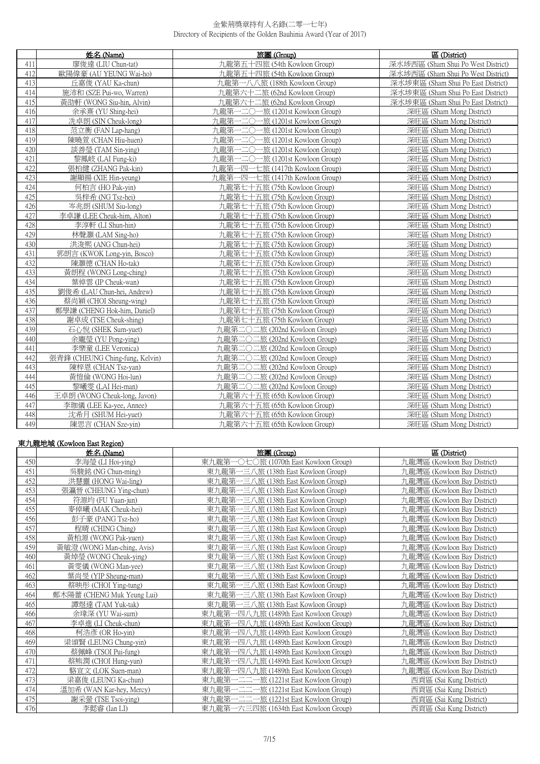|     | 姓名 (Name)                       | 旅團 (Group)                           | 區 (District)                       |
|-----|---------------------------------|--------------------------------------|------------------------------------|
| 411 | 廖俊達 (LIU Chun-tat)              | 九龍第五十四旅 (54th Kowloon Group)         | 深水埗西區 (Sham Shui Po West District) |
| 412 | 歐陽偉豪 (AU YEUNG Wai-ho)          | 九龍第五十四旅 (54th Kowloon Group)         | 深水埗西區 (Sham Shui Po West District) |
| 413 | 丘嘉俊 (YAU Ka-chun)               | 九龍第一八八旅 (188th Kowloon Group)        | 深水埗東區 (Sham Shui Po East District) |
| 414 | 施沛和 (SZE Pui-wo, Warren)        | 九龍第六十二旅 (62nd Kowloon Group)         | 深水埗東區 (Sham Shui Po East District) |
| 415 | 黃劭軒 (WONG Siu-hin, Alvin)       | 九龍第六十二旅 (62nd Kowloon Group)         | 深水埗東區 (Sham Shui Po East District) |
| 416 | 余承熹 (YU Shing-hei)              | 九龍第一二〇一旅 (1201st Kowloon Group)      | 深旺區 (Sham Mong District)           |
| 417 | 冼卓朗 (SIN Cheuk-long)            | 九龍第一二〇一旅 (1201st Kowloon Group)      | 深旺區 (Sham Mong District)           |
| 418 | 范立衡 (FAN Lap-hang)              | 力.龍第一二〇一旅 (1201st Kowloon Group)     | 深旺區 (Sham Mong District)           |
| 419 | 陳曉萱 (CHAN Hiu-huen)             | 九龍第一二〇一旅 (1201st Kowloon Group)      | 深旺區 (Sham Mong District)           |
| 420 | 談善瑩 (TAM Sin-ying)              | 九龍第一二〇一旅 (1201st Kowloon Group)      | 深旺區 (Sham Mong District)           |
| 421 | 黎鳳岐 (LAI Fung-ki)               | - 二〇一旅 (1201st Kowloon Group)<br>九龍第 | 深旺區 (Sham Mong District)           |
| 422 | 張柏健 (ZHANG Pak-kin)             | 九龍第一四一七旅 (1417th Kowloon Group)      | 深旺區 (Sham Mong District)           |
| 423 | 謝顯揚 (XIE Hin-yeung)             | 九龍第一四一七旅 (1417th Kowloon Group)      | 深旺區 (Sham Mong District)           |
| 424 | 何柏言 (HO Pak-vin)                | 九龍第七十五旅 (75th Kowloon Group)         | 深旺區 (Sham Mong District)           |
| 425 | 吳梓希 (NG Tsz-hei)                | 九龍第七十五旅 (75th Kowloon Group)         | 深旺區 (Sham Mong District)           |
| 426 | 岑兆朗 (SHUM Siu-long)             | 九龍第七十五旅 (75th Kowloon Group)         | 深旺區 (Sham Mong District)           |
| 427 | 李卓謙 (LEE Cheuk-him, Alton)      | 九龍第七十五旅 (75th Kowloon Group)         | 深旺區 (Sham Mong District)           |
| 428 | 李淳軒 (LI Shun-hin)               | 九龍第七十五旅 (75th Kowloon Group)         | 深旺區 (Sham Mong District)           |
| 429 | 林聲灝 (LAM Sing-ho)               | 九龍第七十五旅 (75th Kowloon Group)         | 深旺區 (Sham Mong District)           |
| 430 | 洪浚熙 (ANG Chun-hei)              | 九龍第七十五旅 (75th Kowloon Group)         | 深旺區 (Sham Mong District)           |
| 431 | 郭朗言 (KWOK Long-yin, Bosco)      | 九龍第七十五旅 (75th Kowloon Group)         | 深旺區 (Sham Mong District)           |
| 432 | 陳灝德 (CHAN Ho-tak)               | 九龍第七十五旅 (75th Kowloon Group)         | 深旺區 (Sham Mong District)           |
| 433 | 黃朗程 (WONG Long-ching)           | 九龍第七十五旅 (75th Kowloon Group)         | 深旺區 (Sham Mong District)           |
| 434 | 葉倬雲 (IP Cheuk-wan)              | 九龍第七十五旅 (75th Kowloon Group)         | 深旺區 (Sham Mong District)           |
| 435 | 劉俊希 (LAU Chun-hei, Andrew)      | 九龍第七十五旅 (75th Kowloon Group)         | 深旺區 (Sham Mong District)           |
| 436 | 蔡尚穎 (CHOI Sheung-wing)          | 九龍第七十五旅 (75th Kowloon Group)         | 深旺區 (Sham Mong District)           |
| 437 | 鄭學謙 (CHENG Hok-him, Daniel)     | 九龍第七十五旅 (75th Kowloon Group)         | 深旺區 (Sham Mong District)           |
| 438 | 謝卓成 (TSE Cheuk-shing)           | 九龍第七十五旅 (75th Kowloon Group)         | 深旺區 (Sham Mong District)           |
| 439 | 石心悅 (SHEK Sum-yuet)             | 九龍第二〇二旅 (202nd Kowloon Group)        | 深旺區 (Sham Mong District)           |
| 440 | 余龐瑩 (YU Pong-ying)              | 九龍第二〇二旅 (202nd Kowloon Group)        | 深旺區 (Sham Mong District)           |
| 441 | 李樂童 (LEE Veronica)              | 九龍第二〇二旅 (202nd Kowloon Group)        | 深旺區 (Sham Mong District)           |
| 442 | 張青鋒 (CHEUNG Ching-fung, Kelvin) | 九龍第二〇二旅 (202nd Kowloon Group)        | 深旺區 (Sham Mong District)           |
| 443 | 陳梓恩 (CHAN Tsz-yan)              | 九龍第二〇二旅 (202nd Kowloon Group)        | 深旺區 (Sham Mong District)           |
| 444 | 黃愷倫 (WONG Hoi-lun)              | 九龍第二〇二旅 (202nd Kowloon Group)        | 深旺區 (Sham Mong District)           |
| 445 | 黎曦雯 (LAI Hei-man)               | 九龍第二〇二旅 (202nd Kowloon Group)        | 深旺區 (Sham Mong District)           |
| 446 | 王卓朗 (WONG Cheuk-long, Javon)    | 九龍第六十五旅 (65th Kowloon Group)         | 深旺區 (Sham Mong District)           |
| 447 | 李珈儀 (LEE Ka-yee, Annee)         | 九龍第六十五旅 (65th Kowloon Group)         | 深旺區 (Sham Mong District)           |
| 448 | 沈希月 (SHUM Hei-yuet)             | 九龍第六十五旅 (65th Kowloon Group)         | 深旺區 (Sham Mong District)           |
| 449 | 陳思言 (CHAN Sze-vin)              | 九龍第六十五旅 (65th Kowloon Group)         | 深旺區 (Sham Mong District)           |

# 東九龍地域 (Kowloon East Region)

|     | 姓名 (Name)                  | 旅團 (Group)                                 | 區 (District)                |
|-----|----------------------------|--------------------------------------------|-----------------------------|
| 450 | 李海瑩 (LI Hoi-ying)          | 東九龍第<br>○旅 (1070th East Kowloon Group)     | 九龍灣區 (Kowloon Bay District) |
| 451 | 吳駿銘 (NG Chun-ming)         | 東九龍第一三八旅 (138th East Kowloon Group)        | 九龍灣區 (Kowloon Bay District) |
| 452 | 洪慧靈 (HONG Wai-ling)        | 東九龍第-<br>一三八旅 (138th East Kowloon Group)   | 九龍灣區 (Kowloon Bay District) |
| 453 | 張瀛晉 (CHEUNG Ying-chun)     | 東九龍第一三八旅 (138th East Kowloon Group)        | 九龍灣區 (Kowloon Bay District) |
| 454 | 符源均 (FU Yuan-jun)          | 東九龍第一三八旅 (138th East Kowloon Group)        | 九龍灣區 (Kowloon Bay District) |
| 455 | 麥倬曦 (MAK Cheuk-hei)        | 東九龍第-<br>一三八旅 (138th East Kowloon Group)   | 九龍灣區 (Kowloon Bay District) |
| 456 | 彭子豪 (PANG Tsz-ho)          | 東九龍第一三八旅 (138th East Kowloon Group)        | 九龍灣區 (Kowloon Bay District) |
| 457 | 程晴 (CHING Ching)           | 東九龍第一三八旅 (138th East Kowloon Group)        | 九龍灣區 (Kowloon Bay District) |
| 458 | 黃柏源 (WONG Pak-yuen)        | 東九龍第-<br>-三八旅 (138th East Kowloon Group)   | 九龍灣區 (Kowloon Bay District) |
| 459 | 黃敏澄 (WONG Man-ching, Avis) | 東九龍第一三八旅 (138th East Kowloon Group)        | 九龍灣區 (Kowloon Bay District) |
| 460 | 黃焯瑩 (WONG Cheuk-ying)      | 東九龍第一三八旅 (138th East Kowloon Group)        | 九龍灣區 (Kowloon Bay District) |
| 461 | 黃雯儀 (WONG Man-yee)         | 東九龍第一三八旅 (138th East Kowloon Group)        | 九龍灣區 (Kowloon Bay District) |
| 462 | 葉尚旻 (YIP Sheung-man)       | 東九龍第一三八旅 (138th East Kowloon Group)        | 九龍灣區 (Kowloon Bay District) |
| 463 | 蔡映彤 (CHOI Ying-tung)       | 東九龍第一三八旅 (138th East Kowloon Group)        | 九龍灣區 (Kowloon Bay District) |
| 464 | 鄭木陽蕾 (CHENG Muk Yeung Lui) | 東九龍第一三八旅 (138th East Kowloon Group)        | 九龍灣區 (Kowloon Bay District) |
| 465 | 譚煜達 (TAM Yuk-tak)          | 東九龍第一三八旅 (138th East Kowloon Group)        | 九龍灣區 (Kowloon Bay District) |
| 466 | 余瑋深 (YU Wai-sum)           | 東九龍第-<br>-四八九旅 (1489th East Kowloon Group) | 九龍灣區 (Kowloon Bay District) |
| 467 | 李卓進 (LI Cheuk-chun)        | 東九龍第-<br>-四八九旅 (1489th East Kowloon Group) | 九龍灣區 (Kowloon Bay District) |
| 468 | 柯浩彥 (OR Ho-yin)            | 東九龍第-<br>-四八九旅 (1489th East Kowloon Group) | 九龍灣區 (Kowloon Bay District) |
| 469 | 梁頌賢 (LEUNG Chung-yin)      | -四八九旅 (1489th East Kowloon Group)<br>東九龍第  | 九龍灣區 (Kowloon Bay District) |
| 470 | 蔡佩峰 (TSOI Pui-fung)        | 東九龍第一四八九旅 (1489th East Kowloon Group)      | 九龍灣區 (Kowloon Bay District) |
| 471 | 蔡熊潤 (CHOI Hung-yun)        | 東九龍第-<br>一四八九旅 (1489th East Kowloon Group) | 九龍灣區 (Kowloon Bay District) |
| 472 | 駱宣文 (LOK Suen-man)         | -四八九旅 (1489th East Kowloon Group)<br>東九龍第  | 九龍灣區 (Kowloon Bay District) |
| 473 | 梁嘉俊 (LEUNG Ka-chun)        | 東九龍第一二二一旅 (1221st East Kowloon Group)      | 西貢區 (Sai Kung District)     |
| 474 | 溫加希 (WAN Kar-hey, Mercy)   | 東九龍第一二二一旅 (1221st East Kowloon Group)      | 西貢區 (Sai Kung District)     |
| 475 | 謝采螢 (TSE Tsoi-ying)        | - 二二一旅 (1221st East Kowloon Group)<br>東九龍第 | 西貢區 (Sai Kung District)     |
| 476 | 李懿睿 (Ian LI)               | 東九龍第一六三四旅 (1634th East Kowloon Group)      | 西貢區 (Sai Kung District)     |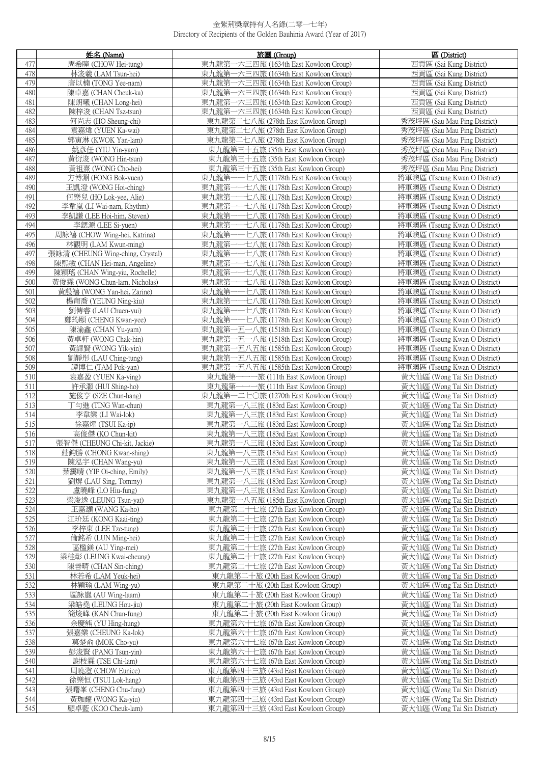|            | 姓名 (Name)                                              | 旅團 (Group)                                                                        | 區 (District)                                                   |
|------------|--------------------------------------------------------|-----------------------------------------------------------------------------------|----------------------------------------------------------------|
| 477        | 周希瞳 (CHOW Hei-tung)                                    | 六三四旅 (1634th East Kowloon Group)<br>東九龍第                                          | 西貢區 (Sai Kung District)                                        |
| 478        | 林浚羲 (LAM Tsun-hei)                                     | 東九龍第一六三四旅 (1634th East Kowloon Group)                                             | 西貢區 (Sai Kung District)                                        |
| 479        | 唐以楠 (TONG Yee-nam)                                     | 東九龍第一六三四旅 (1634th East Kowloon Group)                                             | 西貢區 (Sai Kung District)                                        |
| 480        | 陳卓嘉 (CHAN Cheuk-ka)                                    | 東九龍第一六三四旅 (1634th East Kowloon Group)                                             | 西貢區 (Sai Kung District)                                        |
| 481        | 陳朗曦 (CHAN Long-hei)                                    | 東九龍第一六三四旅 (1634th East Kowloon Group)                                             | 西貢區 (Sai Kung District)                                        |
| 482        | 陳梓浚 (CHAN Tsz-tsun)                                    | 東九龍第一六三四旅 (1634th East Kowloon Group)                                             | 西貢區 (Sai Kung District)                                        |
| 483        | 何尚志 (HO Sheung-chi)                                    | 東九龍第二七八旅 (278th East Kowloon Group)                                               | 秀茂坪區 (Sau Mau Ping District)                                   |
| 484        | 袁嘉煒 (YUEN Ka-wai)                                      | 東九龍第二七八旅 (278th East Kowloon Group)                                               | 秀茂坪區 (Sau Mau Ping District)                                   |
| 485        | 郭寅淋 (KWOK Yan-lam)                                     | 東九龍第二七八旅 (278th East Kowloon Group)                                               | 秀茂坪區 (Sau Mau Ping District)                                   |
| 486        | 姚彥任 (YIU Yin-yam)                                      | 東九龍第三十五旅 (35th East Kowloon Group)                                                | 秀茂坪區 (Sau Mau Ping District)                                   |
| 487        | 黃衍浚 (WONG Hin-tsun)                                    | 東九龍第三十五旅 (35th East Kowloon Group)                                                | 秀茂坪區 (Sau Mau Ping District)                                   |
| 488        | 黃祖熹 (WONG Cho-hei)                                     | 東九龍第三十五旅 (35th East Kowloon Group)                                                | 秀茂坪區 (Sau Mau Ping District)                                   |
| 489        | 方博淵 (FONG Bok-yuen)                                    | 東九龍第一<br>一七八旅 (1178th East Kowloon Group)                                         | 將軍澳區 (Tseung Kwan O District)                                  |
| 490        | 王凱澄 (WONG Hoi-ching)                                   | 東九龍第<br>-七八旅 (1178th East Kowloon Group)                                          | 將軍澳區 (Tseung Kwan O District)                                  |
| 491        | 何樂兒 (HO Lok-yee, Alie)                                 | 東九龍第-<br>-七八旅 (1178th East Kowloon Group)                                         | 將軍澳區 (Tseung Kwan O District)                                  |
| 492        | 李韋嵐 (LI Wai-nam, Rhythm)                               | -七八旅 (1178th East Kowloon Group)<br>東九龍第                                          | 將軍澳區 (Tseung Kwan O District)                                  |
| 493        | 李凱謙 (LEE Hoi-him, Steven)                              | 東九龍第<br>-七八旅 (1178th East Kowloon Group)                                          | 將軍澳區 (Tseung Kwan O District)                                  |
| 494        | 李鍶源 (LEE Si-yuen)                                      | 東九龍第<br>-七八旅 (1178th East Kowloon Group)                                          | 將軍澳區 (Tseung Kwan O District)                                  |
| 495        | 周詠禧 (CHOW Wing-hei, Katrina)                           | 東九龍第<br>-七八旅 (1178th East Kowloon Group)                                          | 將軍澳區 (Tseung Kwan O District)                                  |
| 496        | 林觀明 (LAM Kwun-ming)                                    | -七八旅 (1178th East Kowloon Group)<br>東九龍第                                          | 將軍澳區 (Tseung Kwan O District)                                  |
| 497        | 張詠清 (CHEUNG Wing-ching, Crystal)                       | 七八旅 (1178th East Kowloon Group)<br>東九龍第                                           | 將軍澳區 (Tseung Kwan O District)                                  |
| 498        | 陳熙敏 (CHAN Hei-man, Angeline)                           | 東九龍第<br>-七八旅 (1178th East Kowloon Group)                                          | 將軍澳區 (Tseung Kwan O District)                                  |
| 499        | 陳穎瑤 (CHAN Wing-yiu, Rochelle)                          | -七八旅 (1178th East Kowloon Group)<br>東九龍第                                          | 將軍澳區 (Tseung Kwan O District)                                  |
| 500        | 黃俊霖 (WONG Chun-lam, Nicholas)                          | 東九龍第<br>-七八旅 (1178th East Kowloon Group)                                          | 將軍澳區 (Tseung Kwan O District)                                  |
| 501        | 黃殷禧 (WONG Yan-hei, Zarine)                             | 東九龍第<br>-七八旅 (1178th East Kowloon Group)                                          | 將軍澳區 (Tseung Kwan O District)                                  |
| 502        | 楊甯喬 (YEUNG Ning-kiu)                                   | 東九龍第<br>-七八旅 (1178th East Kowloon Group)                                          | 將軍澳區 (Tseung Kwan O District)                                  |
| 503        | 劉傳睿 (LAU Chuen-yui)                                    | 東九龍第·<br>-一七八旅 (1178th East Kowloon Group)                                        | 將軍澳區 (Tseung Kwan O District)                                  |
| 504<br>505 | 鄭筠頤 (CHENG Kwan-yee)<br>陳渝鑫 (CHAN Yu-yam)              | -七八旅 (1178th East Kowloon Group)<br>東九龍第<br>東九龍第一五一八旅 (1518th East Kowloon Group) | 將軍澳區 (Tseung Kwan O District)<br>將軍澳區 (Tseung Kwan O District) |
| 506        | 黃卓軒 (WONG Chak-hin)                                    | 一五一八旅 (1518th East Kowloon Group)<br>東九龍第-                                        | 將軍澳區 (Tseung Kwan O District)                                  |
| 507        | 黃譯賢 (WONG Yik-yin)                                     | 東九龍第一五八五旅 (1585th East Kowloon Group)                                             | 將軍澳區 (Tseung Kwan O District)                                  |
| 508        | 劉靜彤 (LAU Ching-tung)                                   | 一五八五旅 (1585th East Kowloon Group)<br>東九龍第·                                        | 將軍澳區 (Tseung Kwan O District)                                  |
| 509        | 譚博仁 (TAM Pok-yan)                                      | 東九龍第一五八五旅 (1585th East Kowloon Group)                                             | 將軍澳區 (Tseung Kwan O District)                                  |
| 510        | 袁嘉盈 (YUEN Ka-ying)                                     | 東九龍第一一-<br>-旅 (111th East Kowloon Group)                                          | 黃大仙區 (Wong Tai Sin District)                                   |
| 511        | 許承灝 (HUI Shing-ho)                                     | 東九龍第-<br>一旅 (111th East Kowloon Group)                                            | 黃大仙區 (Wong Tai Sin District)                                   |
| 512        | 施俊亨 (SZE Chun-hang)                                    | 東九龍第一二七○旅 (1270th East Kowloon Group)                                             | 黃大仙區 (Wong Tai Sin District)                                   |
| 513        | 丁勻進 (TING Wan-chun)                                    | 東九龍第一八三旅 (183rd East Kowloon Group)                                               | 黃大仙區 (Wong Tai Sin District)                                   |
| 514        | 李韋樂 (LI Wai-lok)                                       | 東九龍第一八三旅 (183rd East Kowloon Group)                                               | 黃大仙區 (Wong Tai Sin District)                                   |
| 515        | 徐嘉燁 (TSUI Ka-ip)                                       | 東九龍第一八三旅 (183rd East Kowloon Group)                                               | 黃大仙區 (Wong Tai Sin District)                                   |
| 516        | 高俊傑 (KO Chun-kit)                                      | 東九龍第一八三旅 (183rd East Kowloon Group)                                               | 黃大仙區 (Wong Tai Sin District)                                   |
| 517<br>518 | 張智傑 (CHEUNG Chi-kit, Jackie)<br>荓鈞勝 (CHONG Kwan-shing) | 東九龍第一八三旅 (183rd East Kowloon Group)<br>東九龍第一八三旅 (183rd East Kowloon Group)        | 黃大仙區 (Wong Tai Sin District)<br>黃大仙區 (Wong Tai Sin District)   |
| 519        | 陳泓宇 (CHAN Wang-yu)                                     | 東九龍第一八三旅 (183rd East Kowloon Group)                                               | 黃大仙區 (Wong Tai Sin District)                                   |
| 520        | 葉靄晴 (YIP Oi-ching, Emily)                              | 東九龍第一八三旅 (183rd East Kowloon Group)                                               | 黃大仙區 (Wong Tai Sin District)                                   |
| 521        | 劉焺 (LAU Sing, Tommy)                                   | 東九龍第一八三旅 (183rd East Kowloon Group)                                               | 黃大仙區 (Wong Tai Sin District)                                   |
| 522        | 盧曉峰 (LO Hiu-fung)                                      | 東九龍第一八三旅 (183rd East Kowloon Group)                                               | 黃大仙區 (Wong Tai Sin District)                                   |
| 523        | 梁浚逸 (LEUNG Tsun-yat)                                   | 東九龍第一八五旅 (185th East Kowloon Group)                                               | 黃大仙區 (Wong Tai Sin District)                                   |
| 524        | 王嘉灝 (WANG Ka-ho)                                       | 東九龍第二十七旅 (27th East Kowloon Group)                                                | 黃大仙區 (Wong Tai Sin District)                                   |
| 525        | 江玠廷 (KONG Kaai-ting)                                   | 東九龍第二十七旅 (27th East Kowloon Group)                                                | 黃大仙區 (Wong Tai Sin District)                                   |
| 526        | 李梓東 (LEE Tze-tung)                                     | 東九龍第二十七旅 (27th East Kowloon Group)                                                | 黃大仙區 (Wong Tai Sin District)                                   |
| 527        | 倫銘希 (LUN Ming-hei)                                     | 東九龍第二十七旅 (27th East Kowloon Group)                                                | 黃大仙區 (Wong Tai Sin District)                                   |
| 528        | 區楹鎂 (AU Ying-mei)                                      | 東九龍第二十七旅 (27th East Kowloon Group)                                                | 黃大仙區 (Wong Tai Sin District)                                   |
| 529        | 梁桂彰 (LEUNG Kwai-cheung)                                | 東九龍第二十七旅 (27th East Kowloon Group)                                                | 黃大仙區 (Wong Tai Sin District)                                   |
| 530<br>531 | 陳善晴 (CHAN Sin-ching)                                   | 東九龍第二十七旅 (27th East Kowloon Group)                                                | 黃大仙區 (Wong Tai Sin District)                                   |
| 532        | 林若希 (LAM Yeuk-hei)<br>林穎瑜 (LAM Wing-yu)                | 東九龍第二十旅 (20th East Kowloon Group)<br>東九龍第二十旅 (20th East Kowloon Group)            | 黃大仙區 (Wong Tai Sin District)<br>黃大仙區 (Wong Tai Sin District)   |
| 533        | 區詠嵐 (AU Wing-laam)                                     | 東九龍第二十旅 (20th East Kowloon Group)                                                 | 黃大仙區 (Wong Tai Sin District)                                   |
| 534        | 梁皓堯 (LEUNG Hou-jiu)                                    | 東九龍第二十旅 (20th East Kowloon Group)                                                 | 黃大仙區 (Wong Tai Sin District)                                   |
| 535        | 簡焌峰 (KAN Chun-fung)                                    | 東九龍第二十旅 (20th East Kowloon Group)                                                 | 黃大仙區 (Wong Tai Sin District)                                   |
| 536        | 余慶熊 (YU Hing-hung)                                     | 東九龍第六十七旅 (67th East Kowloon Group)                                                | 黃大仙區 (Wong Tai Sin District)                                   |
| 537        | 張嘉樂 (CHEUNG Ka-lok)                                    | 東九龍第六十七旅 (67th East Kowloon Group)                                                | 黃大仙區 (Wong Tai Sin District)                                   |
| 538        | 莫楚俞 (MOK Cho-yu)                                       | 東九龍第六十七旅 (67th East Kowloon Group)                                                | 黃大仙區 (Wong Tai Sin District)                                   |
| 539        | 彭浚賢 (PANG Tsun-yin)                                    | 東九龍第六十七旅 (67th East Kowloon Group)                                                | 黃大仙區 (Wong Tai Sin District)                                   |
| 540        | 謝枝霖 (TSE Chi-lam)                                      | 東九龍第六十七旅 (67th East Kowloon Group)                                                | 黃大仙區 (Wong Tai Sin District)                                   |
| 541        | 周曉澄 (CHOW Eunice)                                      | 東九龍第四十三旅 (43rd East Kowloon Group)                                                | 黃大仙區 (Wong Tai Sin District)                                   |
| 542        | 徐樂恒 (TSUI Lok-hang)                                    | 東九龍第四十三旅 (43rd East Kowloon Group)                                                | 黃大仙區 (Wong Tai Sin District)                                   |
| 543        | 張曙峯 (CHENG Chu-fung)                                   | 東九龍第四十三旅 (43rd East Kowloon Group)                                                | 黃大仙區 (Wong Tai Sin District)                                   |
| 544        | 黃珈耀 (WONG Ka-yiu)                                      | 東九龍第四十三旅 (43rd East Kowloon Group)                                                | 黃大仙區 (Wong Tai Sin District)                                   |
| 545        | 顧卓藍 (KOO Cheuk-lam)                                    | 東九龍第四十三旅 (43rd East Kowloon Group)                                                | 黃大仙區 (Wong Tai Sin District)                                   |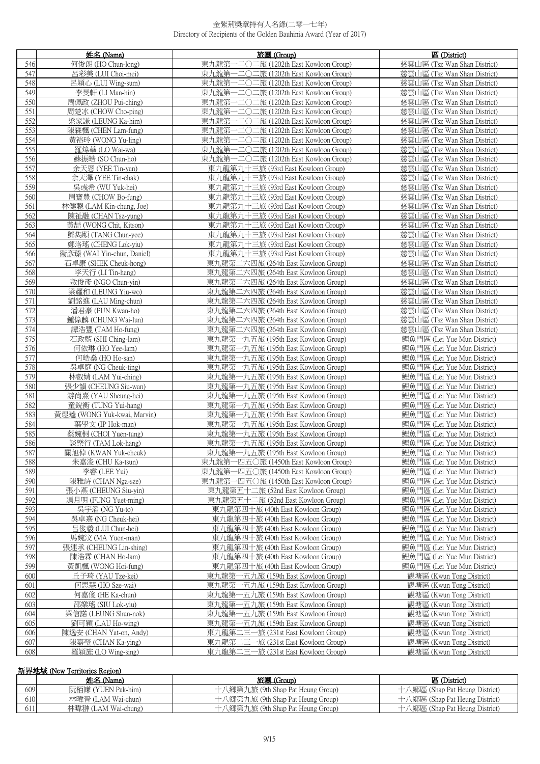|            | 姓名 (Name)                                | 旅團 (Group)                                                                 | 區 (District)                                                 |
|------------|------------------------------------------|----------------------------------------------------------------------------|--------------------------------------------------------------|
| 546        | 何俊朗(HO Chun-long)                        | 東九龍第<br>-二〇二旅 (1202th East Kowloon Group)                                  | 慈雲山區 (Tsz Wan Shan District)                                 |
| 547        | 呂彩美 (LUI Choi-mei)                       | 東九龍第一二〇二旅 (1202th East Kowloon Group)                                      | 慈雲山區 (Tsz Wan Shan District)                                 |
| 548        | 呂穎心 (LUI Wing-sum)                       | -二〇二旅 (1202th East Kowloon Group)<br>東九龍第-                                 | 慈雲山區 (Tsz Wan Shan District)                                 |
| 549        | 李旻軒 (LI Man-hin)                         | -二〇二旅 (1202th East Kowloon Group)<br>東九龍第-                                 | 慈雲山區 (Tsz Wan Shan District)                                 |
| 550        | 周佩政 (ZHOU Pui-ching)                     | -二〇二旅 (1202th East Kowloon Group)<br>東九龍第-                                 | 慈雲山區 (Tsz Wan Shan District)                                 |
| 551        | 周楚冰 (CHOW Cho-ping)                      | -二〇二旅 (1202th East Kowloon Group)<br>東九龍第-                                 | 慈雲山區 (Tsz Wan Shan District)                                 |
| 552        | 梁家謙 (LEUNG Ka-him)                       | 東九龍第一二〇二旅 (1202th East Kowloon Group)                                      | 慈雲山區 (Tsz Wan Shan District)                                 |
| 553        | 陳霖楓 (CHEN Lam-fung)                      | 東九龍第一二〇二旅 (1202th East Kowloon Group)                                      | 慈雲山區 (Tsz Wan Shan District)                                 |
| 554        | 黃裕玲 (WONG Yu-ling)                       | 一二〇二旅 (1202th East Kowloon Group)<br>東九龍第-                                 | 慈雲山區 (Tsz Wan Shan District)                                 |
| 555        | 羅煒華 (LO Wai-wa)                          | 東九龍第一二〇二旅 (1202th East Kowloon Group)                                      | 慈雲山區 (Tsz Wan Shan District)                                 |
| 556        | 蘇振皓 (SO Chun-ho)                         | 東九龍第一二〇二旅 (1202th East Kowloon Group)                                      | 慈雲山區 (Tsz Wan Shan District)                                 |
| 557        | 余天恩 (YEE Tin-yan)                        | 東九龍第九十三旅 (93rd East Kowloon Group)                                         | 慈雲山區 (Tsz Wan Shan District)                                 |
| 558        | 余天澤 (YEE Tin-chak)                       | 東九龍第九十三旅 (93rd East Kowloon Group)                                         | 慈雲山區 (Tsz Wan Shan District)                                 |
| 559        | 吳彧希 (WU Yuk-hei)                         | 東九龍第九十三旅 (93rd East Kowloon Group)                                         | 慈雲山區 (Tsz Wan Shan District)                                 |
| 560        | 周寶豊 (CHOW Bo-fung)                       | 東九龍第九十三旅 (93rd East Kowloon Group)                                         | 慈雲山區 (Tsz Wan Shan District)                                 |
| 561        | 林健聰 (LAM Kin-chung, Joe)                 | 東九龍第九十三旅 (93rd East Kowloon Group)                                         | 慈雲山區 (Tsz Wan Shan District)                                 |
| 562        | 陳祉融 (CHAN Tsz-yung)                      | 東九龍第九十三旅 (93rd East Kowloon Group)                                         | 慈雲山區 (Tsz Wan Shan District)                                 |
| 563        | 黃喆 (WONG Chit, Kitson)                   | 東九龍第九十三旅 (93rd East Kowloon Group)                                         | 慈雲山區 (Tsz Wan Shan District)                                 |
| 564        | 鄧雋頤 (TANG Chun-yee)                      | 東九龍第九十三旅 (93rd East Kowloon Group)                                         | 慈雲山區 (Tsz Wan Shan District)                                 |
| 565        | 鄭洛瑤 (CHENG Lok-yiu)                      | 東九龍第九十三旅 (93rd East Kowloon Group)                                         | 慈雲山區 (Tsz Wan Shan District)                                 |
| 566        | 衞彥臻 (WAI Yin-chun, Daniel)               | 東九龍第九十三旅 (93rd East Kowloon Group)                                         | 慈雲山區 (Tsz Wan Shan District)                                 |
| 567        | 石卓康 (SHEK Cheuk-hong)                    | 東九龍第二六四旅 (264th East Kowloon Group)                                        | 慈雲山區 (Tsz Wan Shan District)                                 |
| 568        | 李天行 (LI Tin-hang)                        | 東九龍第二六四旅 (264th East Kowloon Group)                                        | 慈雲山區 (Tsz Wan Shan District)                                 |
| 569        | 敖俊彥 (NGO Chun-yin)                       | 東九龍第二六四旅 (264th East Kowloon Group)                                        | 慈雲山區 (Tsz Wan Shan District)                                 |
| 570        | 梁耀和 (LEUNG Yiu-wo)                       | 東九龍第二六四旅 (264th East Kowloon Group)                                        | 慈雲山區 (Tsz Wan Shan District)                                 |
| 571        | 劉銘進 (LAU Ming-chun)                      | 東九龍第二六四旅 (264th East Kowloon Group)                                        | 慈雲山區 (Tsz Wan Shan District)                                 |
| 572        | 潘君豪 (PUN Kwan-ho)                        | 東九龍第二六四旅 (264th East Kowloon Group)                                        | 慈雲山區 (Tsz Wan Shan District)                                 |
| 573<br>574 | 鍾偉麟 (CHUNG Wai-lun)                      | 東九龍第二六四旅 (264th East Kowloon Group)<br>東九龍第二六四旅 (264th East Kowloon Group) | 慈雲山區 (Tsz Wan Shan District)<br>慈雲山區 (Tsz Wan Shan District) |
| 575        | 譚浩豐 (TAM Ho-fung)<br>石政藍 (SHI Ching-lam) | 東九龍第一九五旅 (195th East Kowloon Group)                                        | 鯉魚門區 (Lei Yue Mun District)                                  |
| 576        | 何依琳 (HO Yee-lam)                         | 東九龍第一九五旅 (195th East Kowloon Group)                                        | 鯉魚門區 (Lei Yue Mun District)                                  |
| 577        | 何皓桑 (HO Ho-san)                          | 東九龍第一九五旅 (195th East Kowloon Group)                                        | 鯉魚門區 (Lei Yue Mun District)                                  |
| 578        | 吳卓庭 (NG Cheuk-ting)                      | 東九龍第一九五旅 (195th East Kowloon Group)                                        | 鯉魚門區 (Lei Yue Mun District)                                  |
| 579        | 林叡婧 (LAM Yui-ching)                      | 東九龍第一九五旅 (195th East Kowloon Group)                                        | 鯉魚門區 (Lei Yue Mun District)                                  |
| 580        | 張少韻 (CHEUNG Siu-wan)                     | 東九龍第一九五旅 (195th East Kowloon Group)                                        | 鯉魚門區 (Lei Yue Mun District)                                  |
| 581        | 游尚熹 (YAU Sheung-hei)                     | 東九龍第一九五旅 (195th East Kowloon Group)                                        | 鯉魚門區 (Lei Yue Mun District)                                  |
| 582        | 童銳衡 (TUNG Yui-hang)                      | 東九龍第一九五旅 (195th East Kowloon Group)                                        | 鯉魚門區 (Lei Yue Mun District)                                  |
| 583        | 黃煜逵 (WONG Yuk-kwai, Marvin)              | 東九龍第一九五旅 (195th East Kowloon Group)                                        | 鯉魚門區 (Lei Yue Mun District)                                  |
| 584        | 葉學文 (IP Hok-man)                         | 東九龍第一九五旅 (195th East Kowloon Group)                                        | 鯉魚門區 (Lei Yue Mun District)                                  |
| 585        | 蔡婉桐 (CHOI Yuen-tung)                     | 東九龍第一九五旅 (195th East Kowloon Group)                                        | 鯉魚門區 (Lei Yue Mun District)                                  |
| 586        | 談樂行 (TAM Lok-hang)                       | 東九龍第一九五旅 (195th East Kowloon Group)                                        | 鯉魚門區 (Lei Yue Mun District)                                  |
| 587        | 關旭倬 (KWAN Yuk-cheuk)                     | 東九龍第一九五旅 (195th East Kowloon Group)                                        | 鯉魚門區 (Lei Yue Mun District)                                  |
| 588        | 朱嘉浚 (CHU Ka-tsun)                        | 東九龍第一四五〇旅 (1450th East Kowloon Group)                                      | 鯉魚門區 (Lei Yue Mun District)                                  |
| 589        | 李睿 (LEE Yui)                             | 東九龍第一四五〇旅 (1450th East Kowloon Group)                                      | 鯉魚門區 (Lei Yue Mun District)                                  |
| 590        | 陳雅詩 (CHAN Nga-sze)                       | 東九龍第一四五〇旅 (1450th East Kowloon Group)                                      | 鯉魚門區 (Lei Yue Mun District)                                  |
| 591        | 張小燕 (CHEUNG Siu-vin)                     | 東九龍第五十二旅 (52nd East Kowloon Group)                                         | 鯉魚門區 (Lei Yue Mun District)                                  |
| 592        | 馮月明 (FUNG Yuet-ming)                     | 東九龍第五十二旅 (52nd East Kowloon Group)                                         | 鯉魚門區 (Lei Yue Mun District)                                  |
| 593        | 吳宇滔 (NG Yu-to)                           | 東九龍第四十旅 (40th East Kowloon Group)                                          | 鯉魚門區 (Lei Yue Mun District)                                  |
| 594        | 吳卓熹 (NG Cheuk-hei)                       | 東九龍第四十旅 (40th East Kowloon Group)                                          | 鯉魚門區 (Lei Yue Mun District)                                  |
| 595        | 呂俊羲 (LUI Chun-hei)                       | 東九龍第四十旅 (40th East Kowloon Group)                                          | 鯉魚門區 (Lei Yue Mun District)                                  |
| 596        | 馬婉汶 (MA Yuen-man)                        | 東九龍第四十旅 (40th East Kowloon Group)                                          | 鯉魚門區 (Lei Yue Mun District)                                  |
| 597        | 張連承 (CHEUNG Lin-shing)                   | 東九龍第四十旅 (40th East Kowloon Group)                                          | 鯉魚門區 (Lei Yue Mun District)                                  |
| 598        | 陳浩霖 (CHAN Ho-lam)                        | 東九龍第四十旅 (40th East Kowloon Group)                                          | 鯉魚門區 (Lei Yue Mun District)                                  |
| 599<br>600 | 黃凱楓 (WONG Hoi-fung)                      | 東九龍第四十旅 (40th East Kowloon Group)                                          | 鯉魚門區 (Lei Yue Mun District)                                  |
| 601        | 丘子琦 (YAU Tze-kei)<br>何思慧 (HO Sze-wai)    | 東九龍第一五九旅 (159th East Kowloon Group)<br>東九龍第一五九旅 (159th East Kowloon Group) | 觀塘區 (Kwun Tong District)<br>觀塘區 (Kwun Tong District)         |
| 602        | 何嘉俊 (HE Ka-chun)                         | 東九龍第一五九旅 (159th East Kowloon Group)                                        | 觀塘區 (Kwun Tong District)                                     |
| 603        | 邵樂瑤 (SIU Lok-yiu)                        | 東九龍第一五九旅 (159th East Kowloon Group)                                        | 觀塘區 (Kwun Tong District)                                     |
| 604        | 梁信諾 (LEUNG Shun-nok)                     | 東九龍第一五九旅 (159th East Kowloon Group)                                        | 觀塘區 (Kwun Tong District)                                     |
| 605        | 劉可穎 (LAU Ho-wing)                        | 東九龍第一五九旅 (159th East Kowloon Group)                                        | 觀塘區 (Kwun Tong District)                                     |
| 606        | 陳逸安 (CHAN Yat-on, Andy)                  | 東九龍第二三一旅 (231st East Kowloon Group)                                        | 觀塘區 (Kwun Tong District)                                     |
| 607        | 陳嘉瑩 (CHAN Ka-ying)                       | 東九龍第二三一旅 (231st East Kowloon Group)                                        | 觀塘區 (Kwun Tong District)                                     |
| 608        | 羅穎旌 (LO Wing-sing)                       | 東九龍第二三一旅 (231st East Kowloon Group)                                        | 觀塘區 (Kwun Tong District)                                     |
|            |                                          |                                                                            |                                                              |

# 新界地域 (New Territories Region)

|     | 姓名 (Name)           | 旅團 (Group)                        | 區 (District)                   |
|-----|---------------------|-----------------------------------|--------------------------------|
| 609 | 阮栢謙 (YUEN Pak-him)  | 十八鄉第九旅 (9th Shap Pat Heung Group) | 八鄉區 (Shap Pat Heung District)  |
| 610 | 林暐晉 (LAM Wai-chun)  | 十八鄉第九旅 (9th Shap Pat Heung Group) | ·八鄉區 (Shap Pat Heung District) |
|     | 林暐翀 (LAM Wai-chung) | 十八鄉第九旅 (9th Shap Pat Heung Group) | 十八郷區 (Shap Pat Heung District) |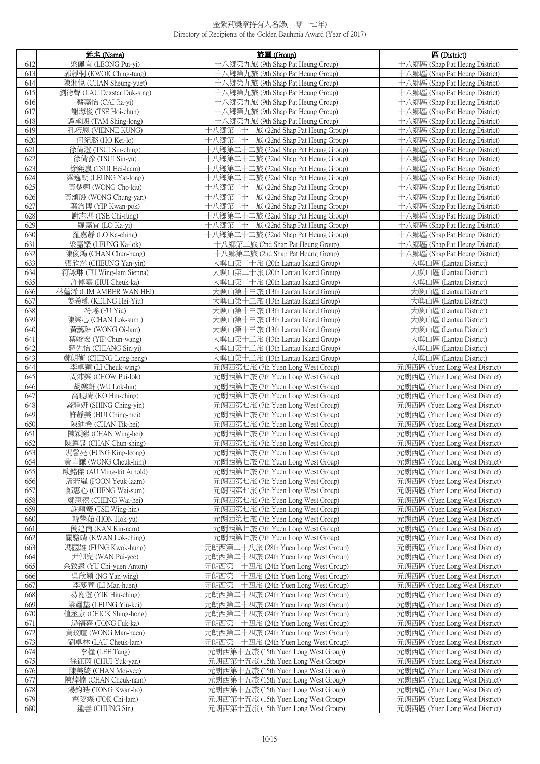|            | 姓名 (Name)                                    | 旅團 (Group)                                                                   | 區 (District)                                                     |
|------------|----------------------------------------------|------------------------------------------------------------------------------|------------------------------------------------------------------|
| 612        | 梁佩官 (LEONG Pui-vi)                           | 十八鄉第九旅 (9th Shap Pat Heung Group)                                            | 十八鄉區 (Shap Pat Heung District)                                   |
| 613        | 郭靜桐 (KWOK Ching-tung)                        | 十八鄉第九旅 (9th Shap Pat Heung Group)                                            | 十八鄉區 (Shap Pat Heung District)                                   |
| 614        | 陳湘悅 (CHAN Sheung-yuet)                       | 十八鄉第九旅 (9th Shap Pat Heung Group)                                            | 十八鄉區 (Shap Pat Heung District)                                   |
| 615        | 劉德聲 (LAU Dexstar Duk-sing)                   | 十八鄉第九旅 (9th Shap Pat Heung Group)                                            | 十八鄉區 (Shap Pat Heung District)                                   |
| 616        | 蔡嘉怡 (CAI Jia-yi)                             | 十八鄉第九旅 (9th Shap Pat Heung Group)                                            | 十八鄉區 (Shap Pat Heung District)                                   |
| 617        | 謝海俊 (TSE Hoi-chun)                           | 十八鄉第九旅 (9th Shap Pat Heung Group)                                            | 十八鄉區 (Shap Pat Heung District)                                   |
| 618        | 譚承朗 (TAM Shing-long)                         | 十八鄉第九旅 (9th Shap Pat Heung Group)                                            | 十八鄉區 (Shap Pat Heung District)                                   |
| 619        | 孔巧恩 (VIENNE KUNG)                            | 十八鄉第二十二旅 (22nd Shap Pat Heung Group)                                         | 十八鄉區 (Shap Pat Heung District)                                   |
| 620        | 何紀潞 (HO Kei-lo)                              | 十八鄉第二十二旅 (22nd Shap Pat Heung Group)                                         | 十八鄉區 (Shap Pat Heung District)                                   |
| 621        | 徐倩澄 (TSUI Sin-ching)                         | 十八鄉第二十二旅 (22nd Shap Pat Heung Group)                                         | 十八鄉區 (Shap Pat Heung District)                                   |
| 622        | 徐倩豫 (TSUI Sin-yu)                            | 十八鄉第二十二旅 (22nd Shap Pat Heung Group)                                         | 十八鄉區 (Shap Pat Heung District)                                   |
| 623        | 徐熙嵐 (TSUI Hei-laam)                          | 十八鄉第二十二旅 (22nd Shap Pat Heung Group)                                         | 十八鄉區 (Shap Pat Heung District)                                   |
| 624        | 梁逸朗 (LEUNG Yat-long)                         | 十八鄉第二十二旅 (22nd Shap Pat Heung Group)                                         | 十八鄉區 (Shap Pat Heung District)                                   |
| 625        | 黃楚翹 (WONG Cho-kiu)                           | 十八鄉第二十二旅 (22nd Shap Pat Heung Group)                                         | 十八鄉區 (Shap Pat Heung District)                                   |
| 626        | 黃頌殷 (WONG Chung-yan)                         | 十八鄉第二十二旅 (22nd Shap Pat Heung Group)                                         | 十八鄉區 (Shap Pat Heung District)                                   |
| 627        | 葉鈞博 (YIP Kwan-pok)                           | 十八鄉第二十二旅 (22nd Shap Pat Heung Group)                                         | 十八鄉區 (Shap Pat Heung District)                                   |
| 628        | 謝志馮 (TSE Chi-fung)                           | 十八鄉第二十二旅 (22nd Shap Pat Heung Group)                                         | 十八鄉區 (Shap Pat Heung District)                                   |
| 629        | 羅嘉宜 (LO Ka-yi)                               | 十八鄉第二十二旅 (22nd Shap Pat Heung Group)                                         | 十八鄉區 (Shap Pat Heung District)                                   |
| 630        | 羅嘉靜 (LO Ka-ching)                            | 十八鄉第二十二旅 (22nd Shap Pat Heung Group)                                         | 十八鄉區 (Shap Pat Heung District)                                   |
| 631        | 梁嘉樂 (LEUNG Ka-lok)                           | 十八鄉第二旅 (2nd Shap Pat Heung Group)                                            | 十八鄉區 (Shap Pat Heung District)                                   |
| 632        | 陳俊鴻 (CHAN Chun-hung)                         | 十八鄉第二旅 (2nd Shap Pat Heung Group)                                            | 十八鄉區 (Shap Pat Heung District)                                   |
| 633        | 張欣然 (CHEUNG Yan-yin)                         | 大嶼山第二十旅 (20th Lantau Island Group)                                           | 大嶼山區 (Lantau District)                                           |
| 634        | 符詠琳 (FU Wing-lam Sienna)                     | 大嶼山第二十旅 (20th Lantau Island Group)                                           | 大嶼山區 (Lantau District)                                           |
| 635        | 許倬嘉 (HUI Cheuk-ka)                           | 大嶼山第二十旅 (20th Lantau Island Group)                                           | 大嶼山區 (Lantau District)                                           |
| 636        | 林蘊浠 (LIM AMBER WAN HEI)                      | 大嶼山第十三旅 (13th Lantau Island Group)                                           | 大嶼山區 (Lantau District)                                           |
| 637        | 姜希瑤 (KEUNG Hei-Yiu)                          | 大嶼山第十三旅 (13th Lantau Island Group)                                           | 大嶼山區 (Lantau District)                                           |
| 638        | 符瑤 (FU Yiu)                                  | 大嶼山第十三旅 (13th Lantau Island Group)                                           | 大嶼山區 (Lantau District)<br>大嶼山區 (Lantau District)                 |
| 639<br>640 | 陳樂心 (CHAN Lok-sum)<br>黃藹琳 (WONG Oi-lam)      | 大嶼山第十三旅 (13th Lantau Island Group)<br>大嶼山第十三旅 (13th Lantau Island Group)     | 大嶼山區 (Lantau District)                                           |
| 641        | 葉竣宏 (YIP Chun-wang)                          | 大嶼山第十三旅 (13th Lantau Island Group)                                           | 大嶼山區 (Lantau District)                                           |
| 642        | 蔣先怡 (CHIANG Sin-yi)                          | 大嶼山第十三旅 (13th Lantau Island Group)                                           | 大嶼山區 (Lantau District)                                           |
| 643        | 鄭朗衡 (CHENG Long-heng)                        | 大嶼山第十三旅 (13th Lantau Island Group)                                           | 大嶼山區 (Lantau District)                                           |
| 644        | 李卓穎 (LI Cheuk-wing)                          | 元朗西第七旅 (7th Yuen Long West Group)                                            | 元朗西區 (Yuen Long West District)                                   |
| 645        | 周沛樂 (CHOW Pui-lok)                           | 元朗西第七旅 (7th Yuen Long West Group)                                            | 元朗西區 (Yuen Long West District)                                   |
| 646        | 胡樂軒 (WU Lok-hin)                             | 元朗西第七旅 (7th Yuen Long West Group)                                            | 元朗西區 (Yuen Long West District)                                   |
| 647        | 高曉晴 (KO Hiu-ching)                           | 元朗西第七旅 (7th Yuen Long West Group)                                            | 元朗西區 (Yuen Long West District)                                   |
| 648        | 盛靜妍 (SHING Ching-yin)                        | 元朗西第七旅 (7th Yuen Long West Group)                                            | 元朗西區 (Yuen Long West District)                                   |
| 649        | 許靜美 (HUI Ching-mei)                          | 元朗西第七旅 (7th Yuen Long West Group)                                            | 元朗西區 (Yuen Long West District)                                   |
| 650        | 陳迪希 (CHAN Tik-hei)                           | 元朗西第七旅 (7th Yuen Long West Group)                                            | 元朗西區 (Yuen Long West District)                                   |
| 651<br>652 | 陳穎熙 (CHAN Wing-hei)<br>陳遵晟 (CHAN Chun-shing) | 元朗西第七旅 (7th Yuen Long West Group)<br>元朗西第七旅 (7th Yuen Long West Group)       | 元朗西區 (Yuen Long West District)<br>元朗西區 (Yuen Long West District) |
| 653        | 馮警亮 (FUNG King-leong)                        | 元朗西第七旅 (7th Yuen Long West Group)                                            | 元朗西區 (Yuen Long West District)                                   |
| 654        | 黃卓謙 (WONG Cheuk-him)                         | 元朗西第七旅 (7th Yuen Long West Group)                                            | 元朗西區 (Yuen Long West District)                                   |
| 655        | 歐銘傑 (AU Ming-kit Arnold)                     | 元朗西第七旅 (7th Yuen Long West Group)                                            | 元朗西區 (Yuen Long West District)                                   |
| 656        | 潘若嵐 (POON Yeuk-laam)                         | 元朗西第七旅 (7th Yuen Long West Group)                                            | 元朗西區 (Yuen Long West District)                                   |
| 657        | 鄭惠心 (CHENG Wai-sum)                          | 元朗西第七旅 (7th Yuen Long West Group)                                            | 元朗西區 (Yuen Long West District)                                   |
| 658        | 鄭惠禧 (CHENG Wai-hei)                          | 元朗西第七旅 (7th Yuen Long West Group)                                            | 元朗西區 (Yuen Long West District)                                   |
| 659        | 謝穎騫 (TSE Wing-hin)                           | 元朗西第七旅 (7th Yuen Long West Group)                                            | 元朗西區 (Yuen Long West District)                                   |
| 660        | 韓學茹 (HON Hok-yu)                             | 元朗西第七旅 (7th Yuen Long West Group)                                            | 元朗西區 (Yuen Long West District)                                   |
| 661        | 簡建南 (KAN Kin-nam)                            | 元朗西第七旅 (7th Yuen Long West Group)                                            | 元朗西區 (Yuen Long West District)                                   |
| 662        | 關駱靖 (KWAN Lok-ching)                         | 元朗西第七旅 (7th Yuen Long West Group)                                            | 元朗西區 (Yuen Long West District)                                   |
| 663        | 馮國雄 (FUNG Kwok-hung)                         | 元朗西第二十八旅 (28th Yuen Long West Group)                                         | 元朗西區 (Yuen Long West District)                                   |
| 664        | 尹佩兒 (WAN Pui-yee)                            | 元朗西第二十四旅 (24th Yuen Long West Group)                                         | 元朗西區 (Yuen Long West District)<br>元朗西區 (Yuen Long West District) |
| 665<br>666 | 余致遠 (YU Chi-yuen Anton)<br>吳欣穎 (NG Yan-wing) | 元朗西第二十四旅 (24th Yuen Long West Group)<br>元朗西第二十四旅 (24th Yuen Long West Group) | 元朗西區 (Yuen Long West District)                                   |
| 667        | 李蔓萱 (LI Man-huen)                            | 元朗西第二十四旅 (24th Yuen Long West Group)                                         | 元朗西區 (Yuen Long West District)                                   |
| 668        | 易曉澄 (YIK Hiu-ching)                          | 元朗西第二十四旅 (24th Yuen Long West Group)                                         | 元朗西區 (Yuen Long West District)                                   |
| 669        | 梁耀基 (LEUNG Yiu-kei)                          | 元朗西第二十四旅 (24th Yuen Long West Group)                                         | 元朗西區 (Yuen Long West District)                                   |
| 670        | 植丞康 (CHICK Shing-hong)                       | 元朗西第二十四旅 (24th Yuen Long West Group)                                         | 元朗西區 (Yuen Long West District)                                   |
| 671        | 湯福嘉 (TONG Fuk-ka)                            | 元朗西第二十四旅 (24th Yuen Long West Group)                                         | 元朗西區 (Yuen Long West District)                                   |
| 672        | 黃玟暄 (WONG Man-huen)                          | 元朗西第二十四旅 (24th Yuen Long West Group)                                         | 元朗西區 (Yuen Long West District)                                   |
| 673        | 劉卓林 (LAU Cheuk-lam)                          | 元朗西第二十四旅 (24th Yuen Long West Group)                                         | 元朗西區 (Yuen Long West District)                                   |
| 674        | 李橦 (LEE Tung)                                | 元朗西第十五旅 (15th Yuen Long West Group)                                          | 元朗西區 (Yuen Long West District)                                   |
| 675        | 徐鈺茵 (CHUI Yuk-yan)                           | 元朗西第十五旅 (15th Yuen Long West Group)                                          | 元朗西區 (Yuen Long West District)                                   |
| 676        | 陳美綺 (CHAN Mei-yee)                           | 元朗西第十五旅 (15th Yuen Long West Group)                                          | 元朗西區 (Yuen Long West District)                                   |
| 677<br>678 | 陳焯楠 (CHAN Cheuk-nam)<br>湯鈞皓 (TONG Kwan-ho)   | 元朗西第十五旅 (15th Yuen Long West Group)<br>元朗西第十五旅 (15th Yuen Long West Group)   | 元朗西區 (Yuen Long West District)<br>元朗西區 (Yuen Long West District) |
| 679        | 霍姿霖 (FOK Chi-lam)                            | 元朗西第十五旅 (15th Yuen Long West Group)                                          | 元朗西區 (Yuen Long West District)                                   |
| 680        | 鍾善 (CHUNG Sin)                               | 元朗西第十五旅 (15th Yuen Long West Group)                                          | 元朗西區 (Yuen Long West District)                                   |
|            |                                              |                                                                              |                                                                  |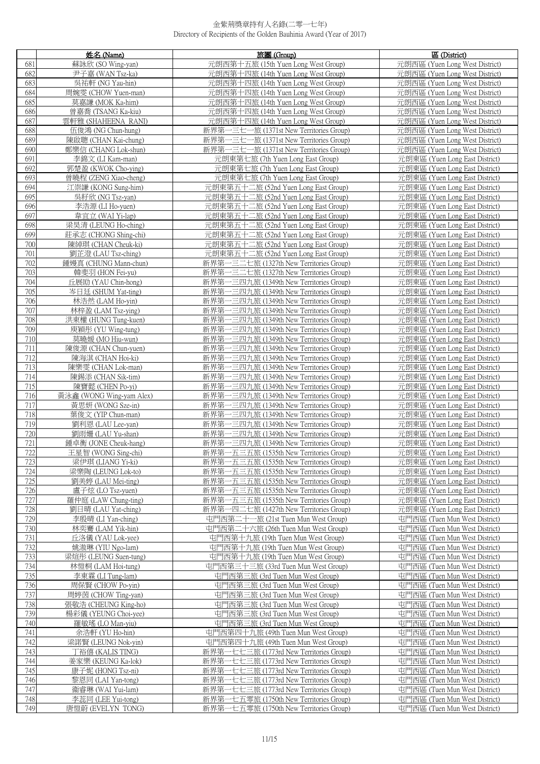|            | 姓名 (Name)                                    | 旅團 (Group)                                                                         | 區 (District)                                                     |
|------------|----------------------------------------------|------------------------------------------------------------------------------------|------------------------------------------------------------------|
| 681        | 蘇詠欣 (SO Wing-yan)                            | 元朗西第十五旅 (15th Yuen Long West Group)                                                | 元朗西區 (Yuen Long West District)                                   |
| 682        | 尹子嘉 (WAN Tsz-ka)                             | 元朗西第十四旅 (14th Yuen Long West Group)                                                | 元朗西區 (Yuen Long West District)                                   |
| 683        | 吳祐軒 (NG Yau-hin)                             | 元朗西第十四旅 (14th Yuen Long West Group)                                                | 元朗西區 (Yuen Long West District)                                   |
| 684        | 周婉雯 (CHOW Yuen-man)                          | 元朗西第十四旅 (14th Yuen Long West Group)                                                | 元朗西區 (Yuen Long West District)                                   |
| 685        | 莫嘉謙 (MOK Ka-him)                             | 元朗西第十四旅 (14th Yuen Long West Group)                                                | 元朗西區 (Yuen Long West District)                                   |
| 686        | 曾嘉喬 (TSANG Ka-kiu)                           | 元朗西第十四旅 (14th Yuen Long West Group)                                                | 元朗西區 (Yuen Long West District)                                   |
| 687        | 雲軒雅 (SHAHEENA RANI)                          | 元朗西第十四旅 (14th Yuen Long West Group)                                                | 元朗西區 (Yuen Long West District)                                   |
| 688        | 伍俊鴻 (NG Chun-hung)                           | 新界第一三七一旅 (1371st New Territories Group)                                            | 元朗西區 (Yuen Long West District)                                   |
| 689        | 陳啟聰 (CHAN Kai-chung)                         | 新界第一三七一旅 (1371st New Territories Group)                                            | 元朗西區 (Yuen Long West District)                                   |
| 690        | 鄭樂信 (CHANG Lok-shun)                         | 新界第一三七一旅 (1371st New Territories Group)                                            | 元朗西區 (Yuen Long West District)                                   |
| 691        | 李錦文 (LI Kam-man)                             | 元朗東第七旅 (7th Yuen Long East Group)                                                  | 元朗東區 (Yuen Long East District)                                   |
| 692        | 郭楚盈 (KWOK Cho-ying)                          | 元朗東第七旅 (7th Yuen Long East Group)                                                  | 元朗東區 (Yuen Long East District)                                   |
| 693        | 曾曉程 (ZENG Xiao-cheng)                        | 元朗東第七旅 (7th Yuen Long East Group)                                                  | 元朗東區 (Yuen Long East District)                                   |
| 694        | 江崇謙 (KONG Sung-him)                          | 元朗東第五十二旅 (52nd Yuen Long East Group)                                               | 元朗東區 (Yuen Long East District)                                   |
| 695        | 吳籽欣 (NG Tsz-yan)                             | 元朗東第五十二旅 (52nd Yuen Long East Group)                                               | 元朗東區 (Yuen Long East District)                                   |
| 696        | 李浩源 (LI Ho-yuen)                             | 元朗東第五十二旅 (52nd Yuen Long East Group)                                               | 元朗東區 (Yuen Long East District)                                   |
| 697        | 韋宜立 (WAI Yi-lap)                             | 元朗東第五十二旅 (52nd Yuen Long East Group)                                               | 元朗東區 (Yuen Long East District)                                   |
| 698        | 梁昊清 (LEUNG Ho-ching)                         | 元朗東第五十二旅 (52nd Yuen Long East Group)                                               | 元朗東區 (Yuen Long East District)                                   |
| 699        | 莊承志 (CHONG Shing-chi)                        | 元朗東第五十二旅 (52nd Yuen Long East Group)                                               | 元朗東區 (Yuen Long East District)                                   |
| 700        | 陳綽琪 (CHAN Cheuk-ki)                          | 元朗東第五十二旅 (52nd Yuen Long East Group)                                               | 元朗東區 (Yuen Long East District)                                   |
| 701        | 劉芷澄 (LAU Tsz-ching)                          | 元朗東第五十二旅 (52nd Yuen Long East Group)                                               | 元朗東區 (Yuen Long East District)                                   |
| 702        | 鍾嫚真 (CHUNG Mann-chun)                        | 新界第一三二七旅 (1327th New Territories Group)                                            | 元朗東區 (Yuen Long East District)                                   |
| 703        | 韓斐羽 (HON Fei-yu)                             | 新界第一三二七旅 (1327th New Territories Group)                                            | 元朗東區 (Yuen Long East District)                                   |
| 704        | 丘展劻 (YAU Chin-hong)                          | 新界第一三四九旅 (1349th New Territories Group)                                            | 元朗東區 (Yuen Long East District)                                   |
| 705<br>706 | 岑日廷 (SHUM Yat-ting)<br>林浩然 (LAM Ho-yin)      | 新界第一三四九旅 (1349th New Territories Group)<br>新界第一三四九旅 (1349th New Territories Group) | 元朗東區 (Yuen Long East District)<br>元朗東區 (Yuen Long East District) |
| 707        | 林梓盈 (LAM Tsz-ying)                           | 新界第一三四九旅 (1349th New Territories Group)                                            | 元朗東區 (Yuen Long East District)                                   |
| 708        | 洪東權 (HUNG Tung-kuen)                         | 新界第一三四九旅 (1349th New Territories Group)                                            | 元朗東區 (Yuen Long East District)                                   |
| 709        | 庾穎彤 (YU Wing-tung)                           | 新界第一三四九旅 (1349th New Territories Group)                                            | 元朗東區 (Yuen Long East District)                                   |
| 710        | 莫曉媛 (MO Hiu-wun)                             | 新界第一三四九旅 (1349th New Territories Group)                                            | 元朗東區 (Yuen Long East District)                                   |
| 711        | 陳俊源 (CHAN Chun-yuen)                         | 新界第一三四九旅 (1349th New Territories Group)                                            | 元朗東區 (Yuen Long East District)                                   |
| 712        | 陳海淇 (CHAN Hoi-ki)                            | 新界第一三四九旅 (1349th New Territories Group)                                            | 元朗東區 (Yuen Long East District)                                   |
| 713        | 陳樂雯 (CHAN Lok-man)                           | 新界第一三四九旅 (1349th New Territories Group)                                            | 元朗東區 (Yuen Long East District)                                   |
| 714        | 陳錫添 (CHAN Sik-tim)                           | 新界第一三四九旅 (1349th New Territories Group)                                            | 元朗東區 (Yuen Long East District)                                   |
| 715        | 陳寶懿 (CHEN Po-yi)                             | 新界第一三四九旅 (1349th New Territories Group)                                            | 元朗東區 (Yuen Long East District)                                   |
| 716        | 黃泳鑫 (WONG Wing-yam Alex)                     | 新界第一三四九旅 (1349th New Territories Group)                                            | 元朗東區 (Yuen Long East District)                                   |
| 717        | 黃思妍 (WONG Sze-in)                            | 新界第一三四九旅 (1349th New Territories Group)                                            | 元朗東區 (Yuen Long East District)                                   |
| 718        | 葉俊文 (YIP Chun-man)                           | 新界第一三四九旅 (1349th New Territories Group)                                            | 元朗東區 (Yuen Long East District)                                   |
| 719        | 劉利恩 (LAU Lee-yan)                            | 新界第一三四九旅 (1349th New Territories Group)                                            | 元朗東區 (Yuen Long East District)                                   |
| 720<br>721 | 劉雨姍 (LAU Yu-shan)                            | 新界第一三四九旅 (1349th New Territories Group)                                            | 元朗東區 (Yuen Long East District)                                   |
| 722        | 鍾卓衡 (JONE Cheuk-hang)<br>王星智 (WONG Sing-chi) | 新界第一三四九旅 (1349th New Territories Group)<br>新界第一五三五旅 (1535th New Territories Group) | 元朗東區 (Yuen Long East District)<br>元朗東區 (Yuen Long East District) |
| 723        | 梁伊琪 (LIANG Yi-ki)                            | 新界第一五三五旅 (1535th New Territories Group)                                            | 元朗東區 (Yuen Long East District)                                   |
| 724        | 梁樂陶 (LEUNG Lok-to)                           | 新界第一五三五旅 (1535th New Territories Group)                                            | 元朗東區 (Yuen Long East District)                                   |
| 725        | 劉美婷 (LAU Mei-ting)                           | 一五三五旅 (1535th New Territories Group)<br>新界第·                                       | 元朗東區 (Yuen Long East District)                                   |
| 726        | 盧子炫 (LO Tsz-yuen)                            | 新界第-<br>一五三五旅 (1535th New Territories Group)                                       | 元朗東區 (Yuen Long East District)                                   |
| 727        | 羅仲庭 (LAW Chung-ting)                         | 新界第<br>一五三五旅 (1535th New Territories Group)                                        | 元朗東區 (Yuen Long East District)                                   |
| 728        | 劉日晴 (LAU Yat-ching)                          | 新界第一四二七旅 (1427th New Territories Group)                                            | 元朗東區 (Yuen Long East District)                                   |
| 729        | 李殷晴 (LI Yan-ching)                           | 屯門西第二十一旅 (21st Tuen Mun West Group)                                                | 屯門西區 (Tuen Mun West District)                                    |
| 730        | 林奕騫 (LAM Yik-hin)                            | 屯門西第二十六旅 (26th Tuen Mun West Group)                                                | 屯門西區 (Tuen Mun West District)                                    |
| 731        | 丘洛儀 (YAU Lok-yee)                            | 屯門西第十九旅 (19th Tuen Mun West Group)                                                 | 屯門西區 (Tuen Mun West District)                                    |
| 732        | 姚滶琳 (YIU Ngo-lam)                            | 屯門西第十九旅 (19th Tuen Mun West Group)                                                 | 屯門西區 (Tuen Mun West District)                                    |
| 733        | 梁煊彤 (LEUNG Suen-tung)                        | 屯門西第十九旅 (19th Tuen Mun West Group)                                                 | 屯門西區 (Tuen Mun West District)                                    |
| 734        | 林愷桐 (LAM Hoi-tung)                           | 屯門西第三十三旅 (33rd Tuen Mun West Group)                                                | 屯門西區 (Tuen Mun West District)                                    |
| 735        | 李東霖 (LI Tung-lam)                            | 屯門西第三旅 (3rd Tuen Mun West Group)                                                   | 屯門西區 (Tuen Mun West District)<br>屯門西區 (Tuen Mun West District)   |
| 736<br>737 | 周保賢 (CHOW Po-yin)<br>周婷茵 (CHOW Ting-yan)     | 屯門西第三旅 (3rd Tuen Mun West Group)<br>屯門西第三旅 (3rd Tuen Mun West Group)               | 屯門西區 (Tuen Mun West District)                                    |
| 738        | 張敬浩 (CHEUNG King-ho)                         | 屯門西第三旅 (3rd Tuen Mun West Group)                                                   | 屯門西區 (Tuen Mun West District)                                    |
| 739        | 楊彩儀 (YEUNG Choi-yee)                         | 屯門西第三旅 (3rd Tuen Mun West Group)                                                   | 屯門西區 (Tuen Mun West District)                                    |
| 740        | 羅敏瑤 (LO Man-yiu)                             | 屯門西第三旅 (3rd Tuen Mun West Group)                                                   | 屯門西區 (Tuen Mun West District)                                    |
| 741        | 余浩軒 (YU Ho-hin)                              | 屯門西第四十九旅 (49th Tuen Mun West Group)                                                | 屯門西區 (Tuen Mun West District)                                    |
| 742        | 梁諾賢 (LEUNG Nok-yin)                          | 屯門西第四十九旅 (49th Tuen Mun West Group)                                                | 屯門西區 (Tuen Mun West District)                                    |
| 743        | 丁裕僖 (KALIS TING)                             | 新界第一七七三旅 (1773rd New Territories Group)                                            | 屯門西區 (Tuen Mun West District)                                    |
| 744        | 姜家樂 (KEUNG Ka-lok)                           | 新界第一七七三旅 (1773rd New Territories Group)                                            | 屯門西區 (Tuen Mun West District)                                    |
| 745        | 康子妮 (HONG Tsz-ni)                            | 新界第一七七三旅 (1773rd New Territories Group)                                            | 屯門西區 (Tuen Mun West District)                                    |
| 746        | 黎恩同 (LAI Yan-tong)                           | ー七七三旅 (1773rd New Territories Group)<br>新界第                                        | 屯門西區 (Tuen Mun West District)                                    |
| 747        | 衞睿琳 (WAI Yui-lam)                            | 新界第一七七三旅 (1773rd New Territories Group)                                            | 屯門西區 (Tuen Mun West District)                                    |
| 748        | 李蕊同 (LEE Yui-tong)                           | 一七五零旅 (1750th New Territories Group)<br>新界第                                        | 屯門西區 (Tuen Mun West District)                                    |
| 749        | 唐愷蔚 (EVELYN TONG)                            | 新界第一七五零旅 (1750th New Territories Group)                                            | 屯門西區 (Tuen Mun West District)                                    |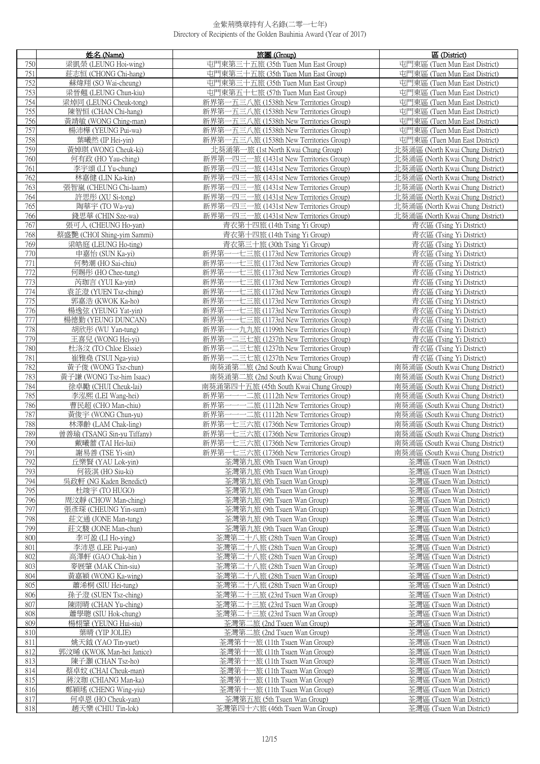|     | 姓名(Name)                   | 旅團 (Group)                                   | 區 (District)                     |
|-----|----------------------------|----------------------------------------------|----------------------------------|
| 750 | 梁凱榮 (LEUNG Hoi-wing)       | 屯門東第三十五旅 (35th Tue <u>n Mun East Group)</u>  | 屯門東區 (Tuen Mun East District)    |
| 751 | 莊志恒 (CHONG Chi-hang)       | 屯門東第三十五旅 (35th Tuen Mun East Group)          | 屯門東區 (Tuen Mun East District)    |
| 752 | 蘇煒翔 (SO Wai-cheung)        | 屯門東第三十五旅 (35th Tuen Mun East Group)          | 屯門東區 (Tuen Mun East District)    |
| 753 | 梁晉翹 (LEUNG Chun-kiu)       | 屯門東第五十七旅 (57th Tuen Mun East Group)          | 屯門東區 (Tuen Mun East District)    |
| 754 | 梁焯同 (LEUNG Cheuk-tong)     | 新界第一五三八旅 (1538th New Territories Group)      | 屯門東區 (Tuen Mun East District)    |
| 755 | 陳智恒 (CHAN Chi-hang)        | 新界第一五三八旅 (1538th New Territories Group)      | 屯門東區 (Tuen Mun East District)    |
| 756 | 黃靖敏 (WONG Ching-man)       | 新界第一五三八旅 (1538th New Territories Group)      | 屯門東區 (Tuen Mun East District)    |
| 757 | 楊沛樺 (YEUNG Pui-wa)         | 新界第一五三八旅 (1538th New Territories Group)      | 屯門東區 (Tuen Mun East District)    |
| 758 | 葉曦然 (IP Hei-yin)           | 新界第一五三八旅 (1538th New Territories Group)      | 屯門東區 (Tuen Mun East District)    |
| 759 | 黃婥琪 (WONG Cheuk-ki)        | 北葵涌第一旅 (1st North Kwai Chung Group)          | 北葵涌區 (North Kwai Chung District) |
| 760 | 何有政 (HO Yau-ching)         | 新界第一四三一旅 (1431st New Territories Group)      | 北葵涌區 (North Kwai Chung District) |
| 761 | 李宇頌 (LI Yu-chung)          | 新界第-<br>-四三一旅 (1431st New Territories Group) | 北葵涌區 (North Kwai Chung District) |
| 762 | 林嘉健 (LIN Ka-kin)           | 新界第-<br>一四三一旅 (1431st New Territories Group) | 北葵涌區 (North Kwai Chung District) |
| 763 | 張智嵐 (CHEUNG Chi-laam)      | 新界第一四三一旅 (1431st New Territories Group)      | 北葵涌區 (North Kwai Chung District) |
| 764 | 許思彤 (XU Si-tong)           | 新界第一四三一旅 (1431st New Territories Group)      | 北葵涌區 (North Kwai Chung District) |
| 765 | 陶華宇 (TO Wa-yu)             | 新界第-<br>一四三一旅 (1431st New Territories Group) | 北葵涌區 (North Kwai Chung District) |
| 766 | 錢思華 (CHIN Sze-wa)          | 新界第一四三一旅 (1431st New Territories Group)      | 北葵涌區 (North Kwai Chung District) |
| 767 | 張可人 (CHEUNG Ho-yan)        | 青衣第十四旅 (14th Tsing Yi Group)                 | 青衣區 (Tsing Yi District)          |
| 768 | 蔡盛艷 (CHOI Shing-yim Sammi) | 青衣第十四旅 (14th Tsing Yi Group)                 | 青衣區 (Tsing Yi District)          |
| 769 | 梁皓庭 (LEUNG Ho-ting)        | 青衣第三十旅 (30th Tsing Yi Group)                 | 青衣區 (Tsing Yi District)          |
| 770 | 申嘉怡 (SUN Ka-yi)            | 新界第-<br>——七三旅 (1173rd New Territories Group) | 青衣區 (Tsing Yi District)          |
| 771 | 何勢潮 (HO Sai-chiu)          | --七三旅 (1173rd New Territories Group)<br>新界第- | 青衣區 (Tsing Yi District)          |
| 772 | 何賜彤 (HO Chee-tung)         | 新界第<br>一七三旅 (1173rd New Territories Group)   | 青衣區 (Tsing Yi District)          |
| 773 | 芮珈言 (YUI Ka-yin)           | 新界第<br>一七三旅 (1173rd New Territories Group)   | 青衣區 (Tsing Yi District)          |
| 774 | 袁芷澄 (YUEN Tsz-ching)       | 新界第<br>一七三旅 (1173rd New Territories Group)   | 青衣區 (Tsing Yi District)          |
| 775 | 郭嘉浩 (KWOK Ka-ho)           | 新界第<br>一七三旅 (1173rd New Territories Group)   | 青衣區 (Tsing Yi District)          |
| 776 | 楊逸弦 (YEUNG Yat-yin)        | 新界第<br>--七三旅 (1173rd New Territories Group)  | 青衣區 (Tsing Yi District)          |
| 777 | 楊德勤 (YEUNG DUNCAN)         | 新界第<br>一七三旅 (1173rd New Territories Group)   | 青衣區 (Tsing Yi District)          |
| 778 | 胡欣彤 (WU Yan-tung)          | ---九九旅 (1199th New Territories Group)<br>新界第 | 青衣區 (Tsing Yi District)          |
| 779 | 王喜兒 (WONG Hei-yi)          | 新界第一二三七旅 (1237th New Territories Group)      | 青衣區 (Tsing Yi District)          |
| 780 | 杜洛汶 (TO Chloe Elssie)      | 新界第一二三七旅 (1237th New Territories Group)      | 青衣區 (Tsing Yi District)          |
| 781 | 崔雅堯 (TSUI Nga-yiu)         | 新界第一二三七旅 (1237th New Territories Group)      | 青衣區 (Tsing Yi District)          |
| 782 | 黃子俊 (WONG Tsz-chun)        | 南葵涌第二旅 (2nd South Kwai Chung Group)          | 南葵涌區 (South Kwai Chung District) |
| 783 | 黃子謙 (WONG Tsz-him Isaac)   | 南葵涌第二旅 (2nd South Kwai Chung Group)          | 南葵涌區 (South Kwai Chung District) |
| 784 | 徐卓勵 (CHUI Cheuk-lai)       | 南葵涌第四十五旅 (45th South Kwai Chung Group)       | 南葵涌區 (South Kwai Chung District) |
| 785 | 李泓熙 (LEI Wang-hei)         | 新界第<br>——二旅 (1112th New Territories Group)   | 南葵涌區 (South Kwai Chung District) |
| 786 | 曹民超 (CHO Man-chiu)         | 新界第                                          | 南葵涌區 (South Kwai Chung District) |
| 787 | 黃俊宇 (WONG Chun-yu)         | 新界第                                          | 南葵涌區 (South Kwai Chung District) |
| 788 | 林澤齡 (LAM Chak-ling)        | 新界第一七三六旅 (1736th New Territories Group)      | 南葵涌區 (South Kwai Chung District) |
| 789 | 曾善瑜 (TSANG Sin-yu Tiffany) | 新界第<br>一七三六旅 (1736th New Territories Group)  | 南葵涌區 (South Kwai Chung District) |
| 790 | 戴曦蕾 (TAI Hei-lui)          | 新界第一七三六旅 (1736th New Territories Group)      | 南葵涌區 (South Kwai Chung District) |
| 791 | 謝易善 (TSE Yi-sin)           | 新界第一七三六旅 (1736th New Territories Group)      | 南葵涌區 (South Kwai Chung District) |
| 792 | 丘樂賢 (YAU Lok-yin)          | 荃灣第九旅 (9th Tsuen Wan Group)                  | 荃灣區 (Tsuen Wan District)         |
| 793 | 何筱淇 (HO Siu-ki)            | 荃灣第九旅 (9th Tsuen Wan Group)                  | 荃灣區 (Tsuen Wan District)         |
| 794 | 吳政軒 (NG Kaden Benedict)    | 荃灣第九旅 (9th Tsuen Wan Group)                  | 荃灣區 (Tsuen Wan District)         |
| 795 | 杜竣宇 (TO HUGO)              | 荃灣第九旅 (9th Tsuen Wan Group)                  | 荃灣區 (Tsuen Wan District)         |
| 796 | 周汶靜 (CHOW Man-ching)       | 荃灣第九旅 (9th Tsuen Wan Group)                  | 荃灣區 (Tsuen Wan District)         |
| 797 | 張彥琛 (CHEUNG Yin-sum)       | 荃灣第九旅 (9th Tsuen Wan Group)                  | 荃灣區 (Tsuen Wan District)         |
| 798 | 莊文通 (JONE Man-tung)        | 荃灣第九旅 (9th Tsuen Wan Group)                  | 荃灣區 (Tsuen Wan District)         |
| 799 | 莊文駿 (JONE Man-chun)        | 荃灣第九旅 (9th Tsuen Wan Group)                  | 荃灣區 (Tsuen Wan District)         |
| 800 | 李可盈 (LI Ho-ving)           | 荃灣第二十八旅 (28th Tsuen Wan Group)               | 荃灣區 (Tsuen Wan District)         |
| 801 | 李沛恩 (LEE Pui-yan)          | 荃灣第二十八旅 (28th Tsuen Wan Group)               | 荃灣區 (Tsuen Wan District)         |
| 802 | 高澤軒 (GAO Chak-hin)         | 荃灣第二十八旅 (28th Tsuen Wan Group)               | 荃灣區 (Tsuen Wan District)         |
| 803 | 麥展肇 (MAK Chin-siu)         | 荃灣第二十八旅 (28th Tsuen Wan Group)               | 荃灣區 (Tsuen Wan District)         |
| 804 | 黃嘉穎 (WONG Ka-wing)         | 荃灣第二十八旅 (28th Tsuen Wan Group)               | 荃灣區 (Tsuen Wan District)         |
| 805 | 蕭浠桐 (SIU Hei-tung)         | 荃灣第二十八旅 (28th Tsuen Wan Group)               | 荃灣區 (Tsuen Wan District)         |
| 806 | 孫子澄 (SUEN Tsz-ching)       | 荃灣第二十三旅 (23rd Tsuen Wan Group)               | 荃灣區 (Tsuen Wan District)         |
| 807 | 陳雨晴 (CHAN Yu-ching)        | 荃灣第二十三旅 (23rd Tsuen Wan Group)               | 荃灣區 (Tsuen Wan District)         |
| 808 | 蕭學聰 (SIU Hok-chung)        | 荃灣第二十三旅 (23rd Tsuen Wan Group)               | 荃灣區 (Tsuen Wan District)         |
| 809 | 楊栩肇 (YEUNG Hui-siu)        | 荃灣第二旅 (2nd Tsuen Wan Group)                  | 荃灣區 (Tsuen Wan District)         |
| 810 | 葉晴 (YIP JOLIE)             | 荃灣第二旅 (2nd Tsuen Wan Group)                  | 荃灣區 (Tsuen Wan District)         |
| 811 | 姚天鉞 (YAO Tin-yuet)         | 荃灣第十一旅 (11th Tsuen Wan Group)                | 荃灣區 (Tsuen Wan District)         |
| 812 | 郭汶晞 (KWOK Man-hei Janice)  | 荃灣第十一旅 (11th Tsuen Wan Group)                | 荃灣區 (Tsuen Wan District)         |
| 813 | 陳子灝 (CHAN Tsz-ho)          | 荃灣第十一旅 (11th Tsuen Wan Group)                | 荃灣區 (Tsuen Wan District)         |
| 814 | 蔡卓妏 (CHAI Cheuk-man)       | 荃灣第十一旅 (11th Tsuen Wan Group)                | 荃灣區 (Tsuen Wan District)         |
| 815 | 蔣汶珈 (CHIANG Man-ka)        | 荃灣第十一旅 (11th Tsuen Wan Group)                | 荃灣區 (Tsuen Wan District)         |
| 816 | 鄭穎瑤 (CHENG Wing-yiu)       | 荃灣第十一旅 (11th Tsuen Wan Group)                | 荃灣區 (Tsuen Wan District)         |
| 817 | 何卓恩 (HO Cheuk-yan)         | 荃灣第五旅 (5th Tsuen Wan Group)                  | 荃灣區 (Tsuen Wan District)         |
| 818 | 趙天樂 (CHIU Tin-lok)         | 荃灣第四十六旅 (46th Tsuen Wan Group)               | 荃灣區 (Tsuen Wan District)         |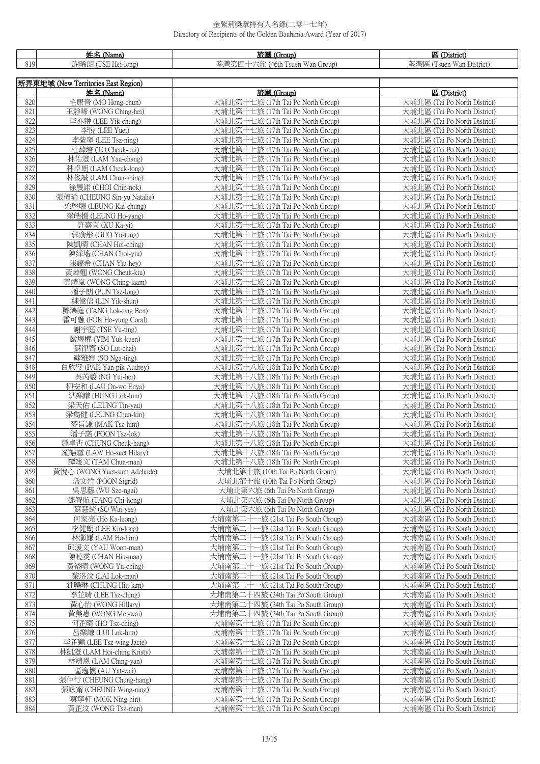|            | 姓名 (Name)                                   | 旅團 (Group)                                                               | 區 (District)                                                 |
|------------|---------------------------------------------|--------------------------------------------------------------------------|--------------------------------------------------------------|
| 819        | 謝晞朗 (TSE Hei-long)                          | 荃灣第四十六旅 (46th Tsuen Wan Group)                                           | 荃灣區 (Tsuen Wan District)                                     |
|            |                                             |                                                                          |                                                              |
|            | 新界東地域 (New Territories East Region)         |                                                                          |                                                              |
|            | 姓名 (Name)                                   | 旅團 (Group)                                                               | 區 (District)                                                 |
| 820        | 毛康晉 (MO Hong-chun)                          | 大埔北第十七旅 (17th Tai Po North Group)                                        | 大埔北區 (Tai Po North District)                                 |
| 821        | 王靜晞 (WONG Ching-hei)                        | 大埔北第十七旅 (17th Tai Po North Group)                                        | 大埔北區 (Tai Po North District)                                 |
| 822        | 李亦翀 (LEE Yik-chung)                         | 大埔北第十七旅 (17th Tai Po North Group)                                        | 大埔北區 (Tai Po North District)                                 |
| 823<br>824 | 李悅 (LEE Yuet)<br>李紫寧 (LEE Tsz-ning)         | 大埔北第十七旅 (17th Tai Po North Group)<br>大埔北第十七旅 (17th Tai Po North Group)   | 大埔北區 (Tai Po North District)<br>大埔北區 (Tai Po North District) |
| 825        | 杜焯培 (TO Cheuk-pui)                          | 大埔北第十七旅 (17th Tai Po North Group)                                        | 大埔北區 (Tai Po North District)                                 |
| 826        | 林佑澄 (LAM Yau-chang)                         | 大埔北第十七旅 (17th Tai Po North Group)                                        | 大埔北區 (Tai Po North District)                                 |
| 827        | 林卓朗 (LAM Cheuk-long)                        | 大埔北第十七旅 (17th Tai Po North Group)                                        | 大埔北區 (Tai Po North District)                                 |
| 828        | 林俊誠 (LAM Chun-shing)                        | 大埔北第十七旅 (17th Tai Po North Group)                                        | 大埔北區 (Tai Po North District)                                 |
| 829        | 徐展諾 (CHOI Chin-nok)                         | 大埔北第十七旅 (17th Tai Po North Group)                                        | 大埔北區 (Tai Po North District)                                 |
| 830        | 張倩瑜 (CHEUNG Sin-yu Natalie)                 | 大埔北第十七旅 (17th Tai Po North Group)                                        | 大埔北區 (Tai Po North District)                                 |
| 831        | 梁啓聰 (LEUNG Kai-chung)                       | 大埔北第十七旅 (17th Tai Po North Group)                                        | 大埔北區 (Tai Po North District)                                 |
| 832        | 梁皓揚 (LEUNG Ho-yang)                         | 大埔北第十七旅 (17th Tai Po North Group)                                        | 大埔北區 (Tai Po North District)                                 |
| 833        | 許嘉宜 (XU Ka-yi)                              | 大埔北第十七旅 (17th Tai Po North Group)                                        | 大埔北區 (Tai Po North District)                                 |
| 834<br>835 | 郭俞彤 (GUO Yu-tung)                           | 大埔北第十七旅 (17th Tai Po North Group)                                        | 大埔北區 (Tai Po North District)                                 |
| 836        | 陳凱晴 (CHAN Hoi-ching)<br>陳綵瑤 (CHAN Choi-yiu) | 大埔北第十七旅 (17th Tai Po North Group)<br>大埔北第十七旅 (17th Tai Po North Group)   | 大埔北區 (Tai Po North District)<br>大埔北區 (Tai Po North District) |
| 837        | 陳耀希 (CHAN Yiu-hey)                          | 大埔北第十七旅 (17th Tai Po North Group)                                        | 大埔北區 (Tai Po North District)                                 |
| 838        | 黃焯翹 (WONG Cheuk-kiu)                        | 大埔北第十七旅 (17th Tai Po North Group)                                        | 大埔北區 (Tai Po North District)                                 |
| 839        | 黃靖嵐 (WONG Ching-laam)                       | 大埔北第十七旅 (17th Tai Po North Group)                                        | 大埔北區 (Tai Po North District)                                 |
| 840        | 潘子朗 (PUN Tsz-long)                          | 大埔北第十七旅 (17th Tai Po North Group)                                        | 大埔北區 (Tai Po North District)                                 |
| 841        | 練億信 (LIN Yik-shun)                          | 大埔北第十七旅 (17th Tai Po North Group)                                        | 大埔北區 (Tai Po North District)                                 |
| 842        | 鄧濼庭 (TANG Lok-ting Ben)                     | 大埔北第十七旅 (17th Tai Po North Group)                                        | 大埔北區 (Tai Po North District)                                 |
| 843        | 霍可融 (FOK Ho-yung Coral)                     | 大埔北第十七旅 (17th Tai Po North Group)                                        | 大埔北區 (Tai Po North District)                                 |
| 844        | 謝宇庭 (TSE Yu-ting)                           | 大埔北第十七旅 (17th Tai Po North Group)                                        | 大埔北區 (Tai Po North District)                                 |
| 845<br>846 | 嚴煜權 (YIM Yuk-kuen)<br>蘇律齊 (SO Lut-chai)     | 大埔北第十七旅 (17th Tai Po North Group)<br>大埔北第十七旅 (17th Tai Po North Group)   | 大埔北區 (Tai Po North District)<br>大埔北區 (Tai Po North District) |
| 847        | 蘇雅婷 (SO Nga-ting)                           | 大埔北第十七旅 (17th Tai Po North Group)                                        | 大埔北區 (Tai Po North District)                                 |
| 848        | 白欣璧 (PAK Yan-pik Audrey)                    | 大埔北第十八旅 (18th Tai Po North Group)                                        | 大埔北區 (Tai Po North District)                                 |
| 849        | 吳芮羲 (NG Yui-hei)                            | 大埔北第十八旅 (18th Tai Po North Group)                                        | 大埔北區 (Tai Po North District)                                 |
| 850        | 柳安和 (LAU On-wo Enya)                        | 大埔北第十八旅 (18th Tai Po North Group)                                        | 大埔北區 (Tai Po North District)                                 |
| 851        | 洪樂謙 (HUNG Lok-him)                          | 大埔北第十八旅 (18th Tai Po North Group)                                        | 大埔北區 (Tai Po North District)                                 |
| 852        | 梁天佑 (LEUNG Tin-yau)                         | 大埔北第十八旅 (18th Tai Po North Group)                                        | 大埔北區 (Tai Po North District)                                 |
| 853        | 梁雋健 (LEUNG Chun-kin)                        | 大埔北第十八旅 (18th Tai Po North Group)                                        | 大埔北區 (Tai Po North District)                                 |
| 854<br>855 | 麥旨謙 (MAK Tsz-him)<br>潘子諾 (POON Tsz-lok)     | 大埔北第十八旅 (18th Tai Po North Group)<br>大埔北第十八旅 (18th Tai Po North Group)   | 大埔北區 (Tai Po North District)<br>大埔北區 (Tai Po North District) |
| 856        | 鍾卓杏 (CHUNG Cheuk-hang)                      | 大埔北第十八旅 (18th Tai Po North Group)                                        | 大埔北區 (Tai Po North District)                                 |
| 857        | 羅皓雪 (LAW Ho-suet Hilary)                    | 大埔北第十八旅 (18th Tai Po North Group)                                        | 大埔北區 (Tai Po North District)                                 |
| 858        | 譚竣文 (TAM Chun-man)                          | 大埔北第十八旅 (18th Tai Po North Group)                                        | 大埔北區 (Tai Po North District)                                 |
| 859        | 黃悅心 (WONG Yuet-sum Adelaide)                | 大埔北第十旅 (10th Tai Po North Group)                                         | 大埔北區 (Tai Po North District)                                 |
| 860        | 潘文晳 (POON Sigrid)                           | 大埔北第十旅 (10th Tai Po North Group)                                         | 大埔北區 (Tai Po North District)                                 |
| 861        | 吳思藝 (WU Sze-ngai)                           | 大埔北第六旅 (6th Tai Po North Group)                                          | 大埔北區 (Tai Po North District)                                 |
| 862        | 鄧智航 (TANG Chi-hong)                         | 大埔北第六旅 (6th Tai Po North Group)                                          | 大埔北區 (Tai Po North District)                                 |
| 863        | 蘇慧綺 (SO Wai-yee)                            | 大埔北第六旅 (6th Tai Po North Group)<br>大埔南第二十一旅 (21st Tai Po South Group)    | 大埔北區 (Tai Po North District)<br>大埔南區 (Tai Po South District) |
| 864<br>865 | 何家亮 (Ho Ka-leong)<br>李健朗 (LEE Kin-long)     | 大埔南第二十一旅 (21st Tai Po South Group)                                       | 大埔南區 (Tai Po South District)                                 |
| 866        | 林灝謙 (LAM Ho-him)                            | 大埔南第二十一旅 (21st Tai Po South Group)                                       | 大埔南區 (Tai Po South District)                                 |
| 867        | 邱湲文 (YAU Woon-man)                          | 大埔南第二十一旅 (21st Tai Po South Group)                                       | 大埔南區 (Tai Po South District)                                 |
| 868        | 陳曉雯 (CHAN Hiu-man)                          | 大埔南第二十一旅 (21st Tai Po South Group)                                       | 大埔南區 (Tai Po South District)                                 |
| 869        | 黃裕晴 (WONG Yu-ching)                         | 大埔南第二十一旅 (21st Tai Po South Group)                                       | 大埔南區 (Tai Po South District)                                 |
| 870        | 黎洛汶 (LAI Lok-man)                           | 大埔南第二十一旅 (21st Tai Po South Group)                                       | 大埔南區 (Tai Po South District)                                 |
| 871        | 鍾曉琳 (CHUNG Hiu-lam)                         | 大埔南第二十一旅 (21st Tai Po South Group)                                       | 大埔南區 (Tai Po South District)                                 |
| 872        | 李芷晴 (LEE Tsz-ching)                         | 大埔南第二十四旅 (24th Tai Po South Group)                                       | 大埔南區 (Tai Po South District)                                 |
| 873<br>874 | 黃心怡 (WONG Hillary)<br>黃美惠 (WONG Mei-wai)    | 大埔南第二十四旅 (24th Tai Po South Group)<br>大埔南第二十四旅 (24th Tai Po South Group) | 大埔南區 (Tai Po South District)<br>大埔南區 (Tai Po South District) |
| 875        | 何芷晴 (HO Tsz-ching)                          | 大埔南第十七旅 (17th Tai Po South Group)                                        | 大埔南區 (Tai Po South District)                                 |
| 876        | 呂樂謙 (LUI Lok-him)                           | 大埔南第十七旅 (17th Tai Po South Group)                                        | 大埔南區 (Tai Po South District)                                 |
| 877        | 李芷穎 (LEE Tsz-wing Jacie)                    | 大埔南第十七旅 (17th Tai Po South Group)                                        | 大埔南區 (Tai Po South District)                                 |
| 878        | 林凱澄 (LAM Hoi-ching Kristy)                  | 大埔南第十七旅 (17th Tai Po South Group)                                        | 大埔南區 (Tai Po South District)                                 |
| 879        | 林靖恩 (LAM Ching-yan)                         | 大埔南第十七旅 (17th Tai Po South Group)                                        | 大埔南區 (Tai Po South District)                                 |
| 880        | 區逸懷 (AU Yat-wai)                            | 大埔南第十七旅 (17th Tai Po South Group)                                        | 大埔南區 (Tai Po South District)                                 |
| 881        | 張仲行 (CHEUNG Chung-hang)                     | 大埔南第十七旅 (17th Tai Po South Group)                                        | 大埔南區 (Tai Po South District)                                 |
| 882        | 張詠甯 (CHEUNG Wing-ning)                      | 大埔南第十七旅 (17th Tai Po South Group)                                        | 大埔南區 (Tai Po South District)                                 |
| 883<br>884 | 莫寧軒 (MOK Ning-hin)                          | 大埔南第十七旅 (17th Tai Po South Group)                                        | 大埔南區 (Tai Po South District)                                 |
|            | 黃芷汶 (WONG Tsz-man)                          | 大埔南第十七旅 (17th Tai Po South Group)                                        | 大埔南區 (Tai Po South District)                                 |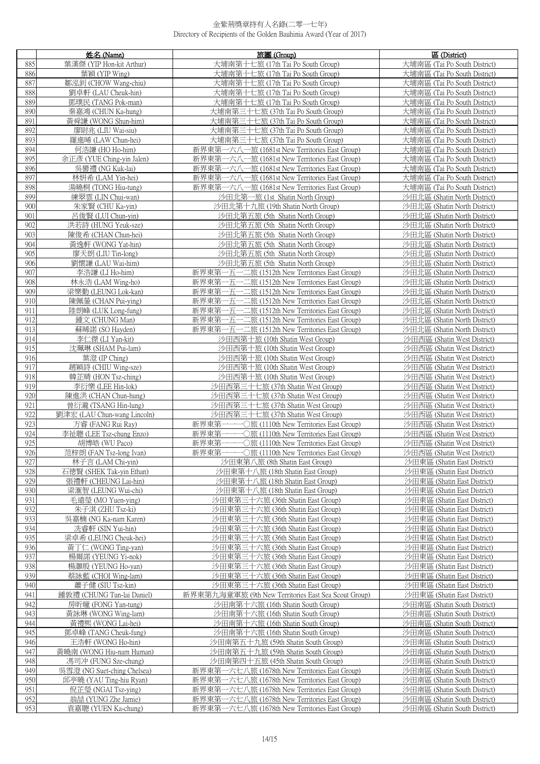|            | 姓名 (Name)                                        | 旅團 (Group)                                                                                     | 區 (District)                                                 |
|------------|--------------------------------------------------|------------------------------------------------------------------------------------------------|--------------------------------------------------------------|
| 885        | 葉漢傑 (YIP Hon-kit Arthur)                         | 大埔南第十七旅 (17th Tai Po South Group)                                                              | 大埔南區 (Tai Po South District)                                 |
| 886        | 葉穎 (YIP Wing)                                    | 大埔南第十七旅 (17th Tai Po South Group)                                                              | 大埔南區 (Tai Po South District)                                 |
| 887        | 鄒泓釗 (CHOW Wang-chiu)                             | 大埔南第十七旅 (17th Tai Po South Group)                                                              | 大埔南區 (Tai Po South District)                                 |
| 888        | 劉卓軒 (LAU Cheuk-hin)                              | 大埔南第十七旅 (17th Tai Po South Group)                                                              | 大埔南區 (Tai Po South District)                                 |
| 889        | 鄧璞民 (TANG Pok-man)                               | 大埔南第十七旅 (17th Tai Po South Group)                                                              | 大埔南區 (Tai Po South District)                                 |
| 890        | 秦嘉鴻 (CHUN Ka-hung)                               | 大埔南第三十七旅 (37th Tai Po South Group)                                                             | 大埔南區 (Tai Po South District)                                 |
| 891        | 黃舜謙 (WONG Shun-him)                              | 大埔南第三十七旅 (37th Tai Po South Group)                                                             | 大埔南區 (Tai Po South District)                                 |
| 892        | 廖尉兆 (LIU Wai-siu)                                | 大埔南第三十七旅 (37th Tai Po South Group)                                                             | 大埔南區 (Tai Po South District)                                 |
| 893        | 羅進晞 (LAW Chun-hei)                               | 大埔南第三十七旅 (37th Tai Po South Group)                                                             | 大埔南區 (Tai Po South District)                                 |
| 894        | 何浩謙 (HO Ho-him)                                  | 新界東第一六八一旅 (1681st New Territories East Group)                                                  | 大埔南區 (Tai Po South District)                                 |
| 895<br>896 | 余正彥 (YUE Ching-yin Jalen)<br>吳嚳禮 (NG Kuk-lai)    | 新界東第一六八一旅 (1681st New Territories East Group)<br>新界東第一六八一旅 (1681st New Territories East Group) | 大埔南區 (Tai Po South District)<br>大埔南區 (Tai Po South District) |
| 897        | 林妍希 (LAM Yin-hei)                                | 新界東第一六八一旅 (1681st New Territories East Group)                                                  | 大埔南區 (Tai Po South District)                                 |
| 898        | 湯曉桐 (TONG Hiu-tung)                              | 新界東第一六八一旅 (1681st New Territories East Group)                                                  | 大埔南區 (Tai Po South District)                                 |
| 899        | 練翠雲 (LIN Chui-wan)                               | 沙田北第一旅 (1st Shatin North Group)                                                                | 沙田北區 (Shatin North District)                                 |
| 900        | 朱家賢 (CHU Ka-yin)                                 | 沙田北第十九旅 (19th Shatin North Group)                                                              | 沙田北區 (Shatin North District)                                 |
| 901        | 呂俊賢 (LUI Chun-yin)                               | 沙田北第五旅 (5th Shatin North Group)                                                                | 沙田北區 (Shatin North District)                                 |
| 902        | 洪若詩 (HUNG Yeuk-sze)                              | 沙田北第五旅 (5th Shatin North Group)                                                                | 沙田北區 (Shatin North District)                                 |
| 903        | 陳俊希 (CHAN Chun-hei)                              | 沙田北第五旅 (5th Shatin North Group)                                                                | 沙田北區 (Shatin North District)                                 |
| 904        | 黃逸軒 (WONG Yat-hin)                               | 沙田北第五旅 (5th Shatin North Group)                                                                | 沙田北區 (Shatin North District)                                 |
| 905        | 廖天朗 (LIU Tin-long)                               | 沙田北第五旅 (5th Shatin North Group)                                                                | 沙田北區 (Shatin North District)                                 |
| 906        | 劉懷謙 (LAU Wai-him)                                | 沙田北第五旅 (5th Shatin North Group)                                                                | 沙田北區 (Shatin North District)                                 |
| 907        | 李浩謙 (LI Ho-him)                                  | 新界東第一五一二旅 (1512th New Territories East Group)                                                  | 沙田北區 (Shatin North District)                                 |
| 908        | 林永浩 (LAM Wing-ho)                                | 新界東第一五一二旅 (1512th New Territories East Group)                                                  | 沙田北區 (Shatin North District)                                 |
| 909        | 梁樂勤 (LEUNG Lok-kan)                              | 新界東第一五一二旅 (1512th New Territories East Group)                                                  | 沙田北區 (Shatin North District)                                 |
| 910        | 陳佩鎣 (CHAN Pui-ying)                              | 新界東第一五一二旅 (1512th New Territories East Group)                                                  | 沙田北區 (Shatin North District)                                 |
| 911        | 陸朗峰 (LUK Long-fung)                              | 新界東第一五一二旅 (1512th New Territories East Group)                                                  | 沙田北區 (Shatin North District)                                 |
| 912        | 鍾文 (CHUNG Man)                                   | 新界東第一五一二旅 (1512th New Territories East Group)                                                  | 沙田北區 (Shatin North District)                                 |
| 913        | 蘇晞諾 (SO Hayden)                                  | 新界東第一五一二旅 (1512th New Territories East Group)                                                  | 沙田北區 (Shatin North District)                                 |
| 914<br>915 | 李仁傑 (LI Yan-kit)<br>沈珮琳 (SHAM Pui-lam)           | 沙田西第十旅 (10th Shatin West Group)<br>沙田西第十旅 (10th Shatin West Group)                             | 沙田西區 (Shatin West District)<br>沙田西區 (Shatin West District)   |
| 916        | 葉澄 (IP Ching)                                    | 沙田西第十旅 (10th Shatin West Group)                                                                | 沙田西區 (Shatin West District)                                  |
| 917        | 趙穎詩 (CHIU Wing-sze)                              | 沙田西第十旅 (10th Shatin West Group)                                                                | 沙田西區 (Shatin West District)                                  |
| 918        | 韓芷晴 (HON Tsz-ching)                              | 沙田西第十旅 (10th Shatin West Group)                                                                | 沙田西區 (Shatin West District)                                  |
| 919        | 李衍樂 (LEE Hin-lok)                                | 沙田西第三十七旅 (37th Shatin West Group)                                                              | 沙田西區 (Shatin West District)                                  |
| 920        | 陳進洪 (CHAN Chun-hung)                             | 沙田西第三十七旅 (37th Shatin West Group)                                                              | 沙田西區 (Shatin West District)                                  |
| 921        | 曾衍瀧 (TSANG Hin-lung)                             | 沙田西第三十七旅 (37th Shatin West Group)                                                              | 沙田西區 (Shatin West District)                                  |
| 922        | 劉津宏 (LAU Chun-wang Lincoln)                      | 沙田西第三十七旅 (37th Shatin West Group)                                                              | 沙田西區 (Shatin West District)                                  |
| 923        | 方睿 (FANG Rui Ray)                                | 新界東第一一一〇旅 (1110th New Territories East Group)                                                  | 沙田西區 (Shatin West District)                                  |
| 924        | 李祉聰 (LEE Tsz-chung Enzo)                         | 新界東第-                                                                                          | 沙田西區 (Shatin West District)                                  |
| 925        | 胡博皓 (WU Paco)                                    | 新界東第一一〇旅 (1110th New Territories East Group)                                                   | 沙田西區 (Shatin West District)                                  |
| 926        | 范梓朗 (FAN Tsz-long Ivan)                          | 新界東第一一一〇旅 (1110th New Territories East Group)                                                  | 沙田西區 (Shatin West District)                                  |
| 927        | 林子言 (LAM Chi-yin)                                | 沙田東第八旅 (8th Shatin East Group)                                                                 | 沙田東區 (Shatin East District)                                  |
| 928        | 石德賢 (SHEK Tak-vin Ethan)                         | 沙田東第十八旅 (18th Shatin East Group)                                                               | 沙田東區 (Shatin East District)                                  |
| 929        | 張禮軒 (CHEUNG Lai-hin)                             | 沙田東第十八旅 (18th Shatin East Group)                                                               | 沙田東區 (Shatin East District)                                  |
| 930<br>931 | 梁滙智 (LEUNG Wui-chi)<br>毛遠瑩 (MO Yuen-ying)        | 沙田東第十八旅 (18th Shatin East Group)<br>沙田東第三十六旅 (36th Shatin East Group)                          | 沙田東區 (Shatin East District)<br>沙田東區 (Shatin East District)   |
| 932        | 朱子淇 (ZHU Tsz-ki)                                 | 沙田東第三十六旅 (36th Shatin East Group)                                                              | 沙田東區 (Shatin East District)                                  |
| 933        | 吳嘉楠 (NG Ka-nam Karen)                            | 沙田東第三十六旅 (36th Shatin East Group)                                                              | 沙田東區 (Shatin East District)                                  |
| 934        | 冼睿軒 (SIN Yui-hin)                                | 沙田東第三十六旅 (36th Shatin East Group)                                                              | 沙田東區 (Shatin East District)                                  |
| 935        | 梁卓希 (LEUNG Cheuk-hei)                            | 沙田東第三十六旅 (36th Shatin East Group)                                                              | 沙田東區 (Shatin East District)                                  |
| 936        | 黃丁仁 (WONG Ting-yan)                              | 沙田東第三十六旅 (36th Shatin East Group)                                                              | 沙田東區 (Shatin East District)                                  |
| 937        | 楊爾諾 (YEUNG Yi-nok)                               | 沙田東第三十六旅 (36th Shatin East Group)                                                              | 沙田東區 (Shatin East District)                                  |
| 938        | 楊灝殷 (YEUNG Ho-yan)                               | 沙田東第三十六旅 (36th Shatin East Group)                                                              | 沙田東區 (Shatin East District)                                  |
| 939        | 蔡詠藍 (CHOI Wing-lam)                              | 沙田東第三十六旅 (36th Shatin East Group)                                                              | 沙田東區 (Shatin East District)                                  |
| 940        | 蕭子健 (SIU Tsz-kin)                                | 沙田東第三十六旅 (36th Shatin East Group)                                                              | 沙田東區 (Shatin East District)                                  |
| 941        | 鍾敦禮 (CHUNG Tun-lai Daniel)                       | 新界東第九海童軍旅 (9th New Territories East Sea Scout Group)                                           | 沙田東區 (Shatin East District)                                  |
| 942        | 房昕曈 (FONG Yan-tung)                              | 沙田南第十六旅 (16th Shatin South Group)                                                              | 沙田南區 (Shatin South District)                                 |
| 943        | 黃詠琳 (WONG Wing-lam)                              | 沙田南第十六旅 (16th Shatin South Group)                                                              | 沙田南區 (Shatin South District)                                 |
| 944        | 黃禮熙 (WONG Lai-hei)                               | 沙田南第十六旅 (16th Shatin South Group)                                                              | 沙田南區 (Shatin South District)                                 |
| 945        | 鄧卓峰 (TANG Cheuk-fung)                            | 沙田南第十六旅 (16th Shatin South Group)                                                              | 沙田南區 (Shatin South District)                                 |
| 946<br>947 | 王浩軒 (WONG Ho-hin)                                | 沙田南第五十九旅 (59th Shatin South Group)                                                             | 沙田南區 (Shatin South District)                                 |
| 948        | 黃曉南 (WONG Hiu-nam Human)<br>馮司冲 (FUNG Sze-chung) | 沙田南第五十九旅 (59th Shatin South Group)<br>沙田南第四十五旅 (45th Shatin South Group)                       | 沙田南區 (Shatin South District)<br>沙田南區 (Shatin South District) |
| 949        | 吳雪澄 (NG Suet-ching Chelsea)                      | 新界東第一六七八旅 (1678th New Territories East Group)                                                  | 沙田南區 (Shatin South District)                                 |
| 950        | 邱亭曉 (YAU Ting-hiu Ryan)                          | 新界東第一六七八旅 (1678th New Territories East Group)                                                  | 沙田南區 (Shatin South District)                                 |
| 951        | 倪芷瑩 (NGAI Tsz-ying)                              | 新界東第一六七八旅 (1678th New Territories East Group)                                                  | 沙田南區 (Shatin South District)                                 |
| 952        | 翁喆 (YUNG Zhe Jamie)                              | 新界東第一六七八旅 (1678th New Territories East Group)                                                  | 沙田南區 (Shatin South District)                                 |
| 953        | 袁嘉聰 (YUEN Ka-chung)                              | 新界東第一六七八旅 (1678th New Territories East Group)                                                  | 沙田南區 (Shatin South District)                                 |